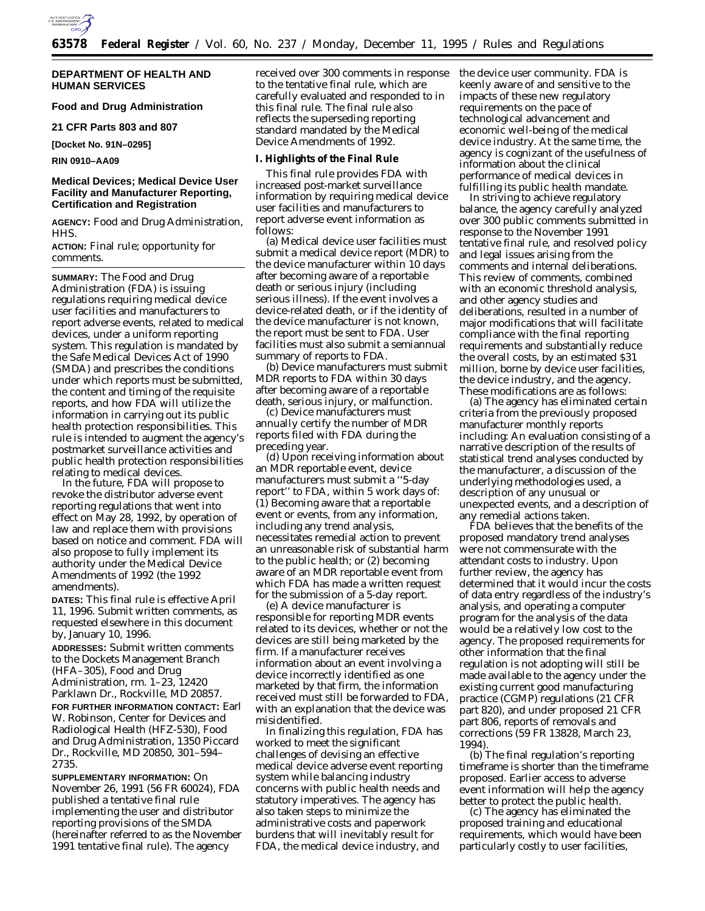

## **DEPARTMENT OF HEALTH AND HUMAN SERVICES**

# **Food and Drug Administration**

**21 CFR Parts 803 and 807**

**[Docket No. 91N–0295]**

**RIN 0910–AA09**

# **Medical Devices; Medical Device User Facility and Manufacturer Reporting, Certification and Registration**

**AGENCY:** Food and Drug Administration, HHS.

## **ACTION:** Final rule; opportunity for comments.

**SUMMARY:** The Food and Drug Administration (FDA) is issuing regulations requiring medical device user facilities and manufacturers to report adverse events, related to medical devices, under a uniform reporting system. This regulation is mandated by the Safe Medical Devices Act of 1990 (SMDA) and prescribes the conditions under which reports must be submitted, the content and timing of the requisite reports, and how FDA will utilize the information in carrying out its public health protection responsibilities. This rule is intended to augment the agency's postmarket surveillance activities and public health protection responsibilities relating to medical devices.

In the future, FDA will propose to revoke the distributor adverse event reporting regulations that went into effect on May 28, 1992, by operation of law and replace them with provisions based on notice and comment. FDA will also propose to fully implement its authority under the Medical Device Amendments of 1992 (the 1992 amendments).

**DATES:** This final rule is effective April 11, 1996. Submit written comments, as requested elsewhere in this document by, January 10, 1996.

**ADDRESSES:** Submit written comments to the Dockets Management Branch (HFA–305), Food and Drug Administration, rm. 1–23, 12420 Parklawn Dr., Rockville, MD 20857. **FOR FURTHER INFORMATION CONTACT:** Earl W. Robinson, Center for Devices and Radiological Health (HFZ-530), Food and Drug Administration, 1350 Piccard Dr., Rockville, MD 20850, 301–594– 2735.

**SUPPLEMENTARY INFORMATION:** On November 26, 1991 (56 FR 60024), FDA published a tentative final rule implementing the user and distributor reporting provisions of the SMDA (hereinafter referred to as the November 1991 tentative final rule). The agency

received over 300 comments in response to the tentative final rule, which are carefully evaluated and responded to in this final rule. The final rule also reflects the superseding reporting standard mandated by the Medical Device Amendments of 1992.

## **I. Highlights of the Final Rule**

This final rule provides FDA with increased post-market surveillance information by requiring medical device user facilities and manufacturers to report adverse event information as follows:

(a) Medical device user facilities must submit a medical device report (MDR) to the device manufacturer within 10 days after becoming aware of a reportable death or serious injury (including serious illness). If the event involves a device-related death, or if the identity of the device manufacturer is not known, the report must be sent to FDA. User facilities must also submit a semiannual summary of reports to FDA.

(b) Device manufacturers must submit MDR reports to FDA within 30 days after becoming aware of a reportable death, serious injury, or malfunction.

(c) Device manufacturers must annually certify the number of MDR reports filed with FDA during the preceding year.

(d) Upon receiving information about an MDR reportable event, device manufacturers must submit a ''5-day report'' to FDA, within 5 work days of: (1) Becoming aware that a reportable event or events, from any information, including any trend analysis, necessitates remedial action to prevent an unreasonable risk of substantial harm to the public health; or (2) becoming aware of an MDR reportable event from which FDA has made a written request for the submission of a 5-day report.

(e) A device manufacturer is responsible for reporting MDR events related to its devices, whether or not the devices are still being marketed by the firm. If a manufacturer receives information about an event involving a device incorrectly identified as one marketed by that firm, the information received must still be forwarded to FDA, with an explanation that the device was misidentified.

In finalizing this regulation, FDA has worked to meet the significant challenges of devising an effective medical device adverse event reporting system while balancing industry concerns with public health needs and statutory imperatives. The agency has also taken steps to minimize the administrative costs and paperwork burdens that will inevitably result for FDA, the medical device industry, and

the device user community. FDA is keenly aware of and sensitive to the impacts of these new regulatory requirements on the pace of technological advancement and economic well-being of the medical device industry. At the same time, the agency is cognizant of the usefulness of information about the clinical performance of medical devices in fulfilling its public health mandate.

In striving to achieve regulatory balance, the agency carefully analyzed over 300 public comments submitted in response to the November 1991 tentative final rule, and resolved policy and legal issues arising from the comments and internal deliberations. This review of comments, combined with an economic threshold analysis, and other agency studies and deliberations, resulted in a number of major modifications that will facilitate compliance with the final reporting requirements and substantially reduce the overall costs, by an estimated \$31 million, borne by device user facilities, the device industry, and the agency. These modifications are as follows:

(a) The agency has eliminated certain criteria from the previously proposed manufacturer monthly reports including: An evaluation consisting of a narrative description of the results of statistical trend analyses conducted by the manufacturer, a discussion of the underlying methodologies used, a description of any unusual or unexpected events, and a description of any remedial actions taken.

FDA believes that the benefits of the proposed mandatory trend analyses were not commensurate with the attendant costs to industry. Upon further review, the agency has determined that it would incur the costs of data entry regardless of the industry's analysis, and operating a computer program for the analysis of the data would be a relatively low cost to the agency. The proposed requirements for other information that the final regulation is not adopting will still be made available to the agency under the existing current good manufacturing practice (CGMP) regulations (21 CFR part 820), and under proposed 21 CFR part 806, reports of removals and corrections (59 FR 13828, March 23, 1994).

(b) The final regulation's reporting timeframe is shorter than the timeframe proposed. Earlier access to adverse event information will help the agency better to protect the public health.

(c) The agency has eliminated the proposed training and educational requirements, which would have been particularly costly to user facilities,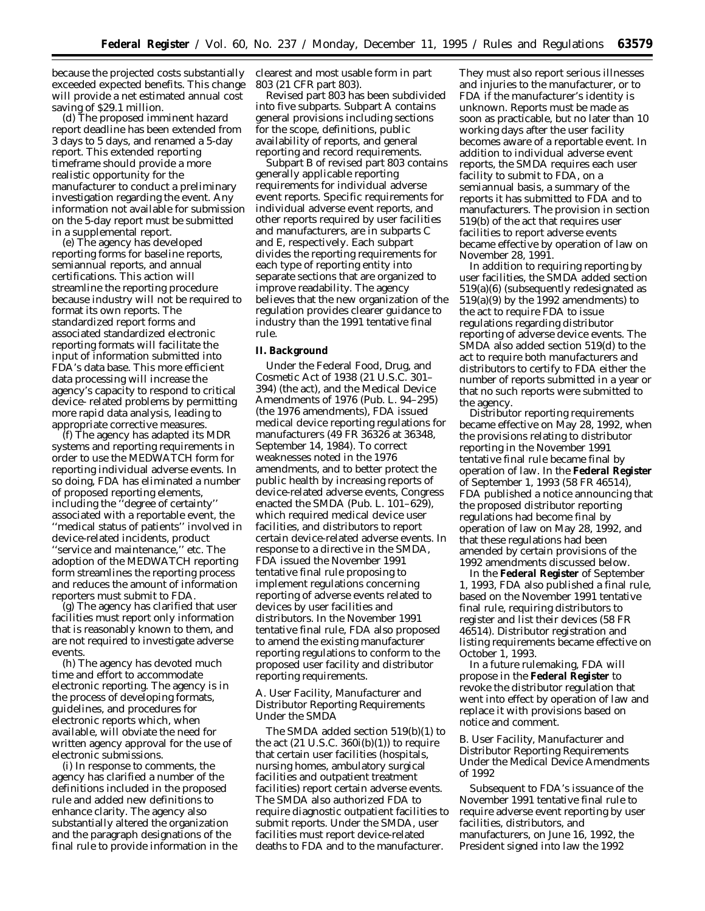because the projected costs substantially exceeded expected benefits. This change will provide a net estimated annual cost saving of \$29.1 million.

(d) The proposed imminent hazard report deadline has been extended from 3 days to 5 days, and renamed a 5-day report. This extended reporting timeframe should provide a more realistic opportunity for the manufacturer to conduct a preliminary investigation regarding the event. Any information not available for submission on the 5-day report must be submitted in a supplemental report.

(e) The agency has developed reporting forms for baseline reports, semiannual reports, and annual certifications. This action will streamline the reporting procedure because industry will not be required to format its own reports. The standardized report forms and associated standardized electronic reporting formats will facilitate the input of information submitted into FDA's data base. This more efficient data processing will increase the agency's capacity to respond to critical device- related problems by permitting more rapid data analysis, leading to appropriate corrective measures.

(f) The agency has adapted its MDR systems and reporting requirements in order to use the MEDWATCH form for reporting individual adverse events. In so doing, FDA has eliminated a number of proposed reporting elements, including the ''degree of certainty'' associated with a reportable event, the ''medical status of patients'' involved in device-related incidents, product ''service and maintenance,'' etc. The adoption of the MEDWATCH reporting form streamlines the reporting process and reduces the amount of information reporters must submit to FDA.

(g) The agency has clarified that user facilities must report only information that is reasonably known to them, and are not required to investigate adverse events.

(h) The agency has devoted much time and effort to accommodate electronic reporting. The agency is in the process of developing formats, guidelines, and procedures for electronic reports which, when available, will obviate the need for written agency approval for the use of electronic submissions.

(i) In response to comments, the agency has clarified a number of the definitions included in the proposed rule and added new definitions to enhance clarity. The agency also substantially altered the organization and the paragraph designations of the final rule to provide information in the clearest and most usable form in part 803 (21 CFR part 803).

Revised part 803 has been subdivided into five subparts. Subpart A contains general provisions including sections for the scope, definitions, public availability of reports, and general reporting and record requirements.

Subpart B of revised part 803 contains generally applicable reporting requirements for individual adverse event reports. Specific requirements for individual adverse event reports, and other reports required by user facilities and manufacturers, are in subparts C and E, respectively. Each subpart divides the reporting requirements for each type of reporting entity into separate sections that are organized to improve readability. The agency believes that the new organization of the regulation provides clearer guidance to industry than the 1991 tentative final rule.

#### **II. Background**

Under the Federal Food, Drug, and Cosmetic Act of 1938 (21 U.S.C. 301– 394) (the act), and the Medical Device Amendments of 1976 (Pub. L. 94–295) (the 1976 amendments), FDA issued medical device reporting regulations for manufacturers (49 FR 36326 at 36348, September 14, 1984). To correct weaknesses noted in the 1976 amendments, and to better protect the public health by increasing reports of device-related adverse events, Congress enacted the SMDA (Pub. L. 101–629), which required medical device user facilities, and distributors to report certain device-related adverse events. In response to a directive in the SMDA, FDA issued the November 1991 tentative final rule proposing to implement regulations concerning reporting of adverse events related to devices by user facilities and distributors. In the November 1991 tentative final rule, FDA also proposed to amend the existing manufacturer reporting regulations to conform to the proposed user facility and distributor reporting requirements.

## *A. User Facility, Manufacturer and Distributor Reporting Requirements Under the SMDA*

The SMDA added section 519(b)(1) to the act  $(21 \text{ U.S.C. } 360i(b)(1))$  to require that certain user facilities (hospitals, nursing homes, ambulatory surgical facilities and outpatient treatment facilities) report certain adverse events. The SMDA also authorized FDA to require diagnostic outpatient facilities to submit reports. Under the SMDA, user facilities must report device-related deaths to FDA and to the manufacturer.

They must also report serious illnesses and injuries to the manufacturer, or to FDA if the manufacturer's identity is unknown. Reports must be made as soon as practicable, but no later than 10 working days after the user facility becomes aware of a reportable event. In addition to individual adverse event reports, the SMDA requires each user facility to submit to FDA, on a semiannual basis, a summary of the reports it has submitted to FDA and to manufacturers. The provision in section 519(b) of the act that requires user facilities to report adverse events became effective by operation of law on November 28, 1991.

In addition to requiring reporting by user facilities, the SMDA added section 519(a)(6) (subsequently redesignated as 519(a)(9) by the 1992 amendments) to the act to require FDA to issue regulations regarding distributor reporting of adverse device events. The SMDA also added section 519(d) to the act to require both manufacturers and distributors to certify to FDA either the number of reports submitted in a year or that no such reports were submitted to the agency.

Distributor reporting requirements became effective on May 28, 1992, when the provisions relating to distributor reporting in the November 1991 tentative final rule became final by operation of law. In the **Federal Register** of September 1, 1993 (58 FR 46514), FDA published a notice announcing that the proposed distributor reporting regulations had become final by operation of law on May 28, 1992, and that these regulations had been amended by certain provisions of the 1992 amendments discussed below.

In the **Federal Register** of September 1, 1993, FDA also published a final rule, based on the November 1991 tentative final rule, requiring distributors to register and list their devices (58 FR 46514). Distributor registration and listing requirements became effective on October 1, 1993.

In a future rulemaking, FDA will propose in the **Federal Register** to revoke the distributor regulation that went into effect by operation of law and replace it with provisions based on notice and comment.

## *B. User Facility, Manufacturer and Distributor Reporting Requirements Under the Medical Device Amendments of 1992*

Subsequent to FDA's issuance of the November 1991 tentative final rule to require adverse event reporting by user facilities, distributors, and manufacturers, on June 16, 1992, the President signed into law the 1992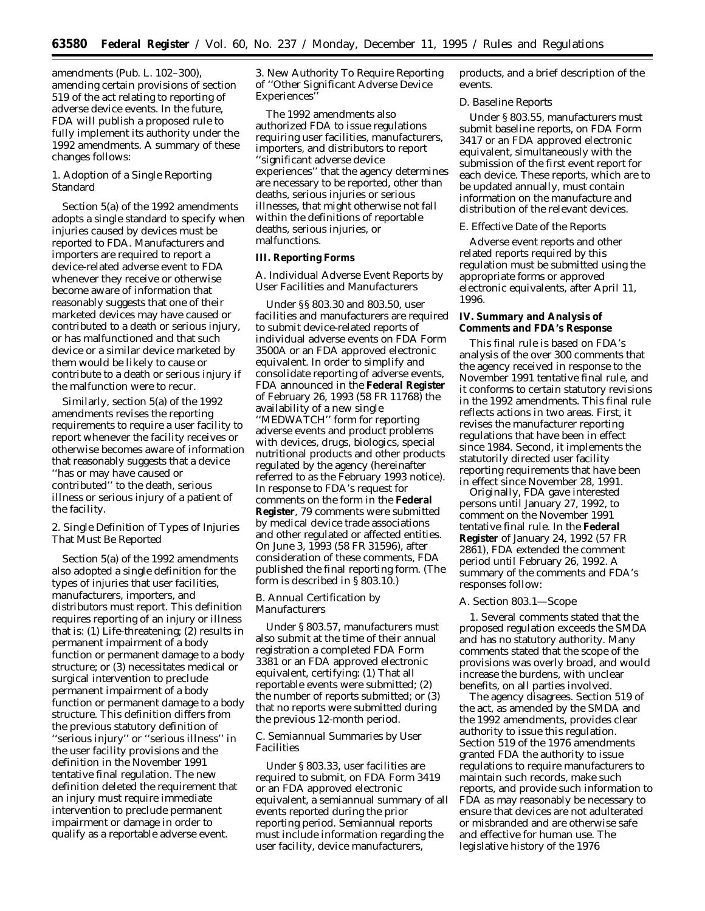amendments (Pub. L. 102–300), amending certain provisions of section 519 of the act relating to reporting of adverse device events. In the future, FDA will publish a proposed rule to fully implement its authority under the 1992 amendments. A summary of these changes follows:

## 1. Adoption of a Single Reporting **Standard**

Section 5(a) of the 1992 amendments adopts a single standard to specify when injuries caused by devices must be reported to FDA. Manufacturers and importers are required to report a device-related adverse event to FDA whenever they receive or otherwise become aware of information that reasonably suggests that one of their marketed devices may have caused or contributed to a death or serious injury, or has malfunctioned and that such device or a similar device marketed by them would be likely to cause or contribute to a death or serious injury if the malfunction were to recur.

Similarly, section 5(a) of the 1992 amendments revises the reporting requirements to require a user facility to report whenever the facility receives or otherwise becomes aware of information that reasonably suggests that a device ''has or may have caused or contributed'' to the death, serious illness or serious injury of a patient of the facility.

2. Single Definition of Types of Injuries That Must Be Reported

Section 5(a) of the 1992 amendments also adopted a single definition for the types of injuries that user facilities, manufacturers, importers, and distributors must report. This definition requires reporting of an injury or illness that is: (1) Life-threatening; (2) results in permanent impairment of a body function or permanent damage to a body structure; or (3) necessitates medical or surgical intervention to preclude permanent impairment of a body function or permanent damage to a body structure. This definition differs from the previous statutory definition of ''serious injury'' or ''serious illness'' in the user facility provisions and the definition in the November 1991 tentative final regulation. The new definition deleted the requirement that an injury must require immediate intervention to preclude permanent impairment or damage in order to qualify as a reportable adverse event.

3. New Authority To Require Reporting of ''Other Significant Adverse Device Experiences''

The 1992 amendments also authorized FDA to issue regulations requiring user facilities, manufacturers, importers, and distributors to report ''significant adverse device experiences'' that the agency determines are necessary to be reported, other than deaths, serious injuries or serious illnesses, that might otherwise not fall within the definitions of reportable deaths, serious injuries, or malfunctions.

## **III. Reporting Forms**

*A. Individual Adverse Event Reports by User Facilities and Manufacturers*

Under §§ 803.30 and 803.50, user facilities and manufacturers are required to submit device-related reports of individual adverse events on FDA Form 3500A or an FDA approved electronic equivalent. In order to simplify and consolidate reporting of adverse events, FDA announced in the **Federal Register** of February 26, 1993 (58 FR 11768) the availability of a new single ''MEDWATCH'' form for reporting adverse events and product problems with devices, drugs, biologics, special nutritional products and other products regulated by the agency (hereinafter referred to as the February 1993 notice). In response to FDA's request for comments on the form in the **Federal Register**, 79 comments were submitted by medical device trade associations and other regulated or affected entities. On June 3, 1993 (58 FR 31596), after consideration of these comments, FDA published the final reporting form. (The form is described in § 803.10.)

## *B. Annual Certification by Manufacturers*

Under § 803.57, manufacturers must also submit at the time of their annual registration a completed FDA Form 3381 or an FDA approved electronic equivalent, certifying: (1) That all reportable events were submitted; (2) the number of reports submitted; or (3) that no reports were submitted during the previous 12-month period.

## *C. Semiannual Summaries by User Facilities*

Under § 803.33, user facilities are required to submit, on FDA Form 3419 or an FDA approved electronic equivalent, a semiannual summary of all events reported during the prior reporting period. Semiannual reports must include information regarding the user facility, device manufacturers,

products, and a brief description of the events.

## *D. Baseline Reports*

Under § 803.55, manufacturers must submit baseline reports, on FDA Form 3417 or an FDA approved electronic equivalent, simultaneously with the submission of the first event report for each device. These reports, which are to be updated annually, must contain information on the manufacture and distribution of the relevant devices.

## *E. Effective Date of the Reports*

Adverse event reports and other related reports required by this regulation must be submitted using the appropriate forms or approved electronic equivalents, after April 11, 1996.

# **IV. Summary and Analysis of Comments and FDA's Response**

This final rule is based on FDA's analysis of the over 300 comments that the agency received in response to the November 1991 tentative final rule, and it conforms to certain statutory revisions in the 1992 amendments. This final rule reflects actions in two areas. First, it revises the manufacturer reporting regulations that have been in effect since 1984. Second, it implements the statutorily directed user facility reporting requirements that have been in effect since November 28, 1991.

Originally, FDA gave interested persons until January 27, 1992, to comment on the November 1991 tentative final rule. In the **Federal Register** of January 24, 1992 (57 FR 2861), FDA extended the comment period until February 26, 1992. A summary of the comments and FDA's responses follow:

### *A. Section 803.1—Scope*

1. Several comments stated that the proposed regulation exceeds the SMDA and has no statutory authority. Many comments stated that the scope of the provisions was overly broad, and would increase the burdens, with unclear benefits, on all parties involved.

The agency disagrees. Section 519 of the act, as amended by the SMDA and the 1992 amendments, provides clear authority to issue this regulation. Section 519 of the 1976 amendments granted FDA the authority to issue regulations to require manufacturers to maintain such records, make such reports, and provide such information to FDA as may reasonably be necessary to ensure that devices are not adulterated or misbranded and are otherwise safe and effective for human use. The legislative history of the 1976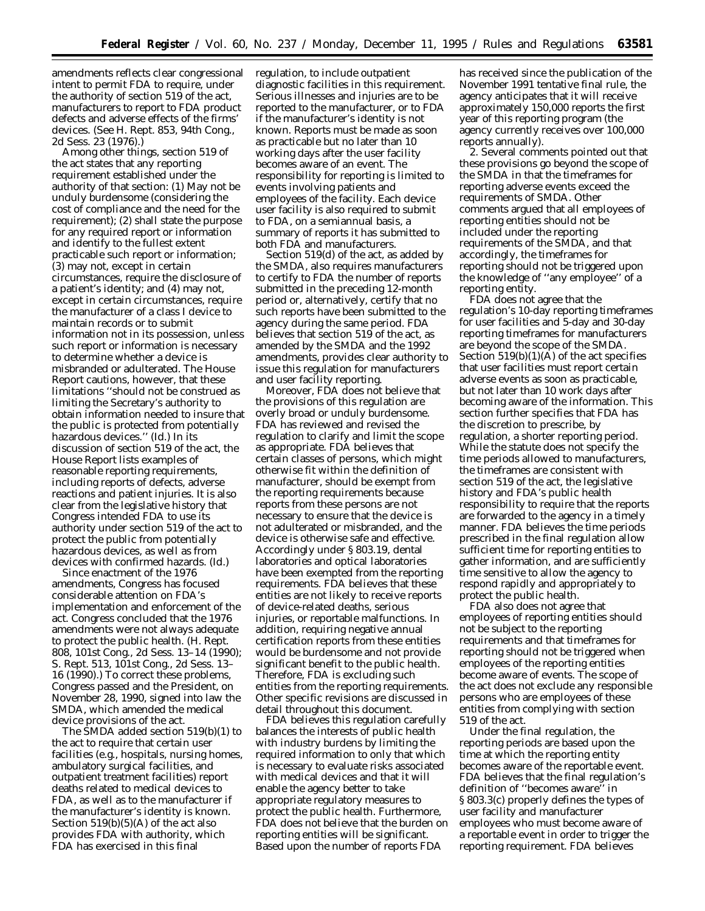amendments reflects clear congressional intent to permit FDA to require, under the authority of section 519 of the act, manufacturers to report to FDA product defects and adverse effects of the firms' devices. (See H. Rept. 853, 94th Cong., 2d Sess. 23 (1976).)

Among other things, section 519 of the act states that any reporting requirement established under the authority of that section: (1) May not be unduly burdensome (considering the cost of compliance and the need for the requirement); (2) shall state the purpose for any required report or information and identify to the fullest extent practicable such report or information; (3) may not, except in certain circumstances, require the disclosure of a patient's identity; and (4) may not, except in certain circumstances, require the manufacturer of a class I device to maintain records or to submit information not in its possession, unless such report or information is necessary to determine whether a device is misbranded or adulterated. The House Report cautions, however, that these limitations ''should not be construed as limiting the Secretary's authority to obtain information needed to insure that the public is protected from potentially hazardous devices.'' (Id.) In its discussion of section 519 of the act, the House Report lists examples of reasonable reporting requirements, including reports of defects, adverse reactions and patient injuries. It is also clear from the legislative history that Congress intended FDA to use its authority under section 519 of the act to protect the public from potentially hazardous devices, as well as from devices with confirmed hazards. (Id.)

Since enactment of the 1976 amendments, Congress has focused considerable attention on FDA's implementation and enforcement of the act. Congress concluded that the 1976 amendments were not always adequate to protect the public health. (H. Rept. 808, 101st Cong., 2d Sess. 13–14 (1990); S. Rept. 513, 101st Cong., 2d Sess. 13– 16 (1990).) To correct these problems, Congress passed and the President, on November 28, 1990, signed into law the SMDA, which amended the medical device provisions of the act.

The SMDA added section 519(b)(1) to the act to require that certain user facilities (e.g., hospitals, nursing homes, ambulatory surgical facilities, and outpatient treatment facilities) report deaths related to medical devices to FDA, as well as to the manufacturer if the manufacturer's identity is known. Section  $519(b)(5)(A)$  of the act also provides FDA with authority, which FDA has exercised in this final

regulation, to include outpatient diagnostic facilities in this requirement. Serious illnesses and injuries are to be reported to the manufacturer, or to FDA if the manufacturer's identity is not known. Reports must be made as soon as practicable but no later than 10 working days after the user facility becomes aware of an event. The responsibility for reporting is limited to events involving patients and employees of the facility. Each device user facility is also required to submit to FDA, on a semiannual basis, a summary of reports it has submitted to both FDA and manufacturers.

Section 519(d) of the act, as added by the SMDA, also requires manufacturers to certify to FDA the number of reports submitted in the preceding 12-month period or, alternatively, certify that no such reports have been submitted to the agency during the same period. FDA believes that section 519 of the act, as amended by the SMDA and the 1992 amendments, provides clear authority to issue this regulation for manufacturers and user facility reporting.

Moreover, FDA does not believe that the provisions of this regulation are overly broad or unduly burdensome. FDA has reviewed and revised the regulation to clarify and limit the scope as appropriate. FDA believes that certain classes of persons, which might otherwise fit within the definition of manufacturer, should be exempt from the reporting requirements because reports from these persons are not necessary to ensure that the device is not adulterated or misbranded, and the device is otherwise safe and effective. Accordingly under § 803.19, dental laboratories and optical laboratories have been exempted from the reporting requirements. FDA believes that these entities are not likely to receive reports of device-related deaths, serious injuries, or reportable malfunctions. In addition, requiring negative annual certification reports from these entities would be burdensome and not provide significant benefit to the public health. Therefore, FDA is excluding such entities from the reporting requirements. Other specific revisions are discussed in detail throughout this document.

FDA believes this regulation carefully balances the interests of public health with industry burdens by limiting the required information to only that which is necessary to evaluate risks associated with medical devices and that it will enable the agency better to take appropriate regulatory measures to protect the public health. Furthermore, FDA does not believe that the burden on reporting entities will be significant. Based upon the number of reports FDA

has received since the publication of the November 1991 tentative final rule, the agency anticipates that it will receive approximately 150,000 reports the first year of this reporting program (the agency currently receives over 100,000 reports annually).

2. Several comments pointed out that these provisions go beyond the scope of the SMDA in that the timeframes for reporting adverse events exceed the requirements of SMDA. Other comments argued that all employees of reporting entities should not be included under the reporting requirements of the SMDA, and that accordingly, the timeframes for reporting should not be triggered upon the knowledge of ''any employee'' of a reporting entity.

FDA does not agree that the regulation's 10-day reporting timeframes for user facilities and 5-day and 30-day reporting timeframes for manufacturers are beyond the scope of the SMDA. Section  $519(b)(1)(A)$  of the act specifies that user facilities must report certain adverse events as soon as practicable, but not later than 10 work days after becoming aware of the information. This section further specifies that FDA has the discretion to prescribe, by regulation, a shorter reporting period. While the statute does not specify the time periods allowed to manufacturers, the timeframes are consistent with section 519 of the act, the legislative history and FDA's public health responsibility to require that the reports are forwarded to the agency in a timely manner. FDA believes the time periods prescribed in the final regulation allow sufficient time for reporting entities to gather information, and are sufficiently time sensitive to allow the agency to respond rapidly and appropriately to protect the public health.

FDA also does not agree that employees of reporting entities should not be subject to the reporting requirements and that timeframes for reporting should not be triggered when employees of the reporting entities become aware of events. The scope of the act does not exclude any responsible persons who are employees of these entities from complying with section 519 of the act.

Under the final regulation, the reporting periods are based upon the time at which the reporting entity becomes aware of the reportable event. FDA believes that the final regulation's definition of ''becomes aware'' in § 803.3(c) properly defines the types of user facility and manufacturer employees who must become aware of a reportable event in order to trigger the reporting requirement. FDA believes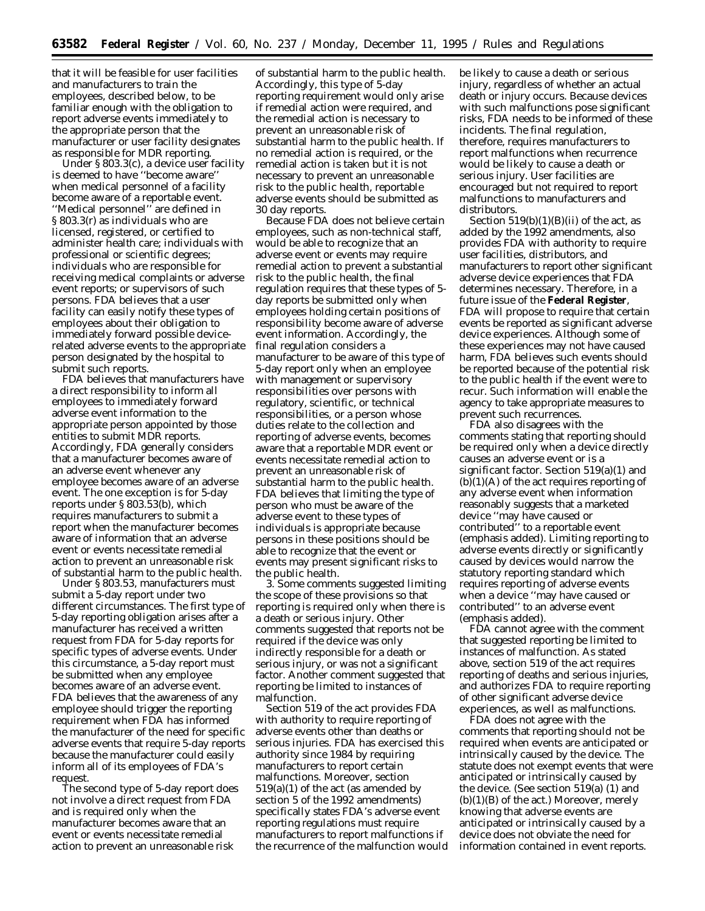that it will be feasible for user facilities and manufacturers to train the employees, described below, to be familiar enough with the obligation to report adverse events immediately to the appropriate person that the manufacturer or user facility designates as responsible for MDR reporting.

Under § 803.3(c), a device user facility is deemed to have ''become aware'' when medical personnel of a facility become aware of a reportable event. ''Medical personnel'' are defined in § 803.3(r) as individuals who are licensed, registered, or certified to administer health care; individuals with professional or scientific degrees; individuals who are responsible for receiving medical complaints or adverse event reports; or supervisors of such persons. FDA believes that a user facility can easily notify these types of employees about their obligation to immediately forward possible devicerelated adverse events to the appropriate person designated by the hospital to submit such reports.

FDA believes that manufacturers have a direct responsibility to inform all employees to immediately forward adverse event information to the appropriate person appointed by those entities to submit MDR reports. Accordingly, FDA generally considers that a manufacturer becomes aware of an adverse event whenever any employee becomes aware of an adverse event. The one exception is for 5-day reports under § 803.53(b), which requires manufacturers to submit a report when the manufacturer becomes aware of information that an adverse event or events necessitate remedial action to prevent an unreasonable risk of substantial harm to the public health.

Under § 803.53, manufacturers must submit a 5-day report under two different circumstances. The first type of 5-day reporting obligation arises after a manufacturer has received a written request from FDA for 5-day reports for specific types of adverse events. Under this circumstance, a 5-day report must be submitted when any employee becomes aware of an adverse event. FDA believes that the awareness of any employee should trigger the reporting requirement when FDA has informed the manufacturer of the need for specific adverse events that require 5-day reports because the manufacturer could easily inform all of its employees of FDA's request.

The second type of 5-day report does not involve a direct request from FDA and is required only when the manufacturer becomes aware that an event or events necessitate remedial action to prevent an unreasonable risk

of substantial harm to the public health. Accordingly, this type of 5-day reporting requirement would only arise if remedial action were required, and the remedial action is necessary to prevent an unreasonable risk of substantial harm to the public health. If no remedial action is required, or the remedial action is taken but it is not necessary to prevent an unreasonable risk to the public health, reportable adverse events should be submitted as 30 day reports.

Because FDA does not believe certain employees, such as non-technical staff, would be able to recognize that an adverse event or events may require remedial action to prevent a substantial risk to the public health, the final regulation requires that these types of 5 day reports be submitted only when employees holding certain positions of responsibility become aware of adverse event information. Accordingly, the final regulation considers a manufacturer to be aware of this type of 5-day report only when an employee with management or supervisory responsibilities over persons with regulatory, scientific, or technical responsibilities, or a person whose duties relate to the collection and reporting of adverse events, becomes aware that a reportable MDR event or events necessitate remedial action to prevent an unreasonable risk of substantial harm to the public health. FDA believes that limiting the type of person who must be aware of the adverse event to these types of individuals is appropriate because persons in these positions should be able to recognize that the event or events may present significant risks to the public health.

3. Some comments suggested limiting the scope of these provisions so that reporting is required only when there is a death or serious injury. Other comments suggested that reports not be required if the device was only indirectly responsible for a death or serious injury, or was not a significant factor. Another comment suggested that reporting be limited to instances of malfunction.

Section 519 of the act provides FDA with authority to require reporting of adverse events other than deaths or serious injuries. FDA has exercised this authority since 1984 by requiring manufacturers to report certain malfunctions. Moreover, section  $519(a)(1)$  of the act (as amended by section 5 of the 1992 amendments) specifically states FDA's adverse event reporting regulations must require manufacturers to report malfunctions if the recurrence of the malfunction would be likely to cause a death or serious injury, regardless of whether an actual death or injury occurs. Because devices with such malfunctions pose significant risks, FDA needs to be informed of these incidents. The final regulation, therefore, requires manufacturers to report malfunctions when recurrence would be likely to cause a death or serious injury. User facilities are encouraged but not required to report malfunctions to manufacturers and distributors.

Section  $519(b)(1)(B)(ii)$  of the act, as added by the 1992 amendments, also provides FDA with authority to require user facilities, distributors, and manufacturers to report other significant adverse device experiences that FDA determines necessary. Therefore, in a future issue of the **Federal Register**, FDA will propose to require that certain events be reported as significant adverse device experiences. Although some of these experiences may not have caused harm, FDA believes such events should be reported because of the potential risk to the public health if the event were to recur. Such information will enable the agency to take appropriate measures to prevent such recurrences.

FDA also disagrees with the comments stating that reporting should be required only when a device directly causes an adverse event or is a significant factor. Section 519(a)(1) and  $(b)(1)(A)$  of the act requires reporting of any adverse event when information reasonably suggests that a marketed device ''may have caused *or contributed*'' to a reportable event (emphasis added). Limiting reporting to adverse events directly or significantly caused by devices would narrow the statutory reporting standard which requires reporting of adverse events when a device ''may have caused *or contributed*'' to an adverse event (emphasis added).

FDA cannot agree with the comment that suggested reporting be limited to instances of malfunction. As stated above, section 519 of the act requires reporting of deaths and serious injuries, and authorizes FDA to require reporting of other significant adverse device experiences, as well as malfunctions.

FDA does not agree with the comments that reporting should not be required when events are anticipated or intrinsically caused by the device. The statute does not exempt events that were anticipated or intrinsically caused by the device. (See section 519(a) (1) and (b)(1)(B) of the act.) Moreover, merely knowing that adverse events are anticipated or intrinsically caused by a device does not obviate the need for information contained in event reports.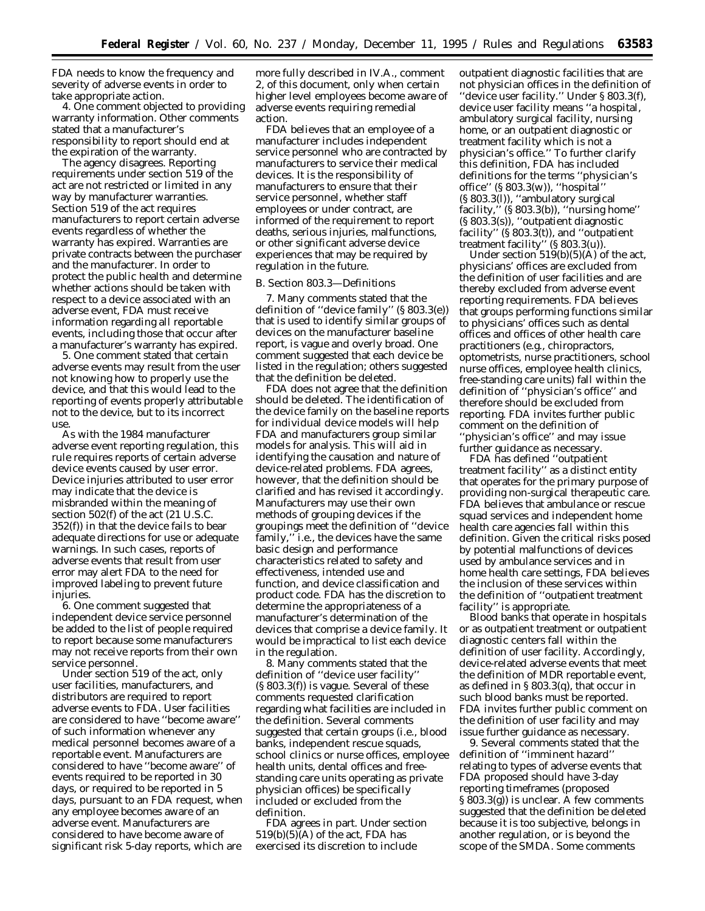FDA needs to know the frequency and severity of adverse events in order to take appropriate action.

4. One comment objected to providing warranty information. Other comments stated that a manufacturer's responsibility to report should end at the expiration of the warranty.

The agency disagrees. Reporting requirements under section 519 of the act are not restricted or limited in any way by manufacturer warranties. Section 519 of the act requires manufacturers to report certain adverse events regardless of whether the warranty has expired. Warranties are private contracts between the purchaser and the manufacturer. In order to protect the public health and determine whether actions should be taken with respect to a device associated with an adverse event, FDA must receive information regarding all reportable events, including those that occur after a manufacturer's warranty has expired.

5. One comment stated that certain adverse events may result from the user not knowing how to properly use the device, and that this would lead to the reporting of events properly attributable not to the device, but to its incorrect use.

As with the 1984 manufacturer adverse event reporting regulation, this rule requires reports of certain adverse device events caused by user error. Device injuries attributed to user error may indicate that the device is misbranded within the meaning of section 502(f) of the act (21 U.S.C. 352(f)) in that the device fails to bear adequate directions for use or adequate warnings. In such cases, reports of adverse events that result from user error may alert FDA to the need for improved labeling to prevent future injuries.

6. One comment suggested that independent device service personnel be added to the list of people required to report because some manufacturers may not receive reports from their own service personnel.

Under section 519 of the act, only user facilities, manufacturers, and distributors are required to report adverse events to FDA. User facilities are considered to have ''become aware'' of such information whenever any medical personnel becomes aware of a reportable event. Manufacturers are considered to have ''become aware'' of events required to be reported in 30 days, or required to be reported in 5 days, pursuant to an FDA request, when any employee becomes aware of an adverse event. Manufacturers are considered to have become aware of significant risk 5-day reports, which are

more fully described in IV.A., comment 2, of this document, only when certain higher level employees become aware of adverse events requiring remedial action.

FDA believes that an employee of a manufacturer includes independent service personnel who are contracted by manufacturers to service their medical devices. It is the responsibility of manufacturers to ensure that their service personnel, whether staff employees or under contract, are informed of the requirement to report deaths, serious injuries, malfunctions, or other significant adverse device experiences that may be required by regulation in the future.

### *B. Section 803.3—Definitions*

7. Many comments stated that the definition of ''device family'' (§ 803.3(e)) that is used to identify similar groups of devices on the manufacturer baseline report, is vague and overly broad. One comment suggested that each device be listed in the regulation; others suggested that the definition be deleted.

FDA does not agree that the definition should be deleted. The identification of the device family on the baseline reports for individual device models will help FDA and manufacturers group similar models for analysis. This will aid in identifying the causation and nature of device-related problems. FDA agrees, however, that the definition should be clarified and has revised it accordingly. Manufacturers may use their own methods of grouping devices if the groupings meet the definition of ''device family,'' i.e., the devices have the same basic design and performance characteristics related to safety and effectiveness, intended use and function, and device classification and product code. FDA has the discretion to determine the appropriateness of a manufacturer's determination of the devices that comprise a device family. It would be impractical to list each device in the regulation.

8. Many comments stated that the definition of ''device user facility'' (§ 803.3(f)) is vague. Several of these comments requested clarification regarding what facilities are included in the definition. Several comments suggested that certain groups (i.e., blood banks, independent rescue squads, school clinics or nurse offices, employee health units, dental offices and freestanding care units operating as private physician offices) be specifically included or excluded from the definition.

FDA agrees in part. Under section  $519(b)(5)(A)$  of the act, FDA has exercised its discretion to include

outpatient diagnostic facilities that are not physician offices in the definition of ''device user facility.'' Under § 803.3(f), device user facility means ''a hospital, ambulatory surgical facility, nursing home, or an outpatient diagnostic or treatment facility which is not a physician's office.'' To further clarify this definition, FDA has included definitions for the terms ''physician's office'' (§ 803.3(w)), ''hospital'' (§ 803.3(l)), ''ambulatory surgical facility,'' (§ 803.3(b)), ''nursing home'' (§ 803.3(s)), ''outpatient diagnostic facility'' (§ 803.3(t)), and ''outpatient treatment facility'' (§ 803.3(u)).

Under section 519(b)(5)(A) of the act, physicians' offices are excluded from the definition of user facilities and are thereby excluded from adverse event reporting requirements. FDA believes that groups performing functions similar to physicians' offices such as dental offices and offices of other health care practitioners (e.g., chiropractors, optometrists, nurse practitioners, school nurse offices, employee health clinics, free-standing care units) fall within the definition of ''physician's office'' and therefore should be excluded from reporting. FDA invites further public comment on the definition of 'physician's office'' and may issue further guidance as necessary.

FDA has defined ''outpatient treatment facility'' as a distinct entity that operates for the primary purpose of providing non-surgical therapeutic care. FDA believes that ambulance or rescue squad services and independent home health care agencies fall within this definition. Given the critical risks posed by potential malfunctions of devices used by ambulance services and in home health care settings, FDA believes the inclusion of these services within the definition of ''outpatient treatment facility'' is appropriate.

Blood banks that operate in hospitals or as outpatient treatment or outpatient diagnostic centers fall within the definition of user facility. Accordingly, device-related adverse events that meet the definition of MDR reportable event, as defined in § 803.3(q), that occur in such blood banks must be reported. FDA invites further public comment on the definition of user facility and may issue further guidance as necessary.

9. Several comments stated that the definition of ''imminent hazard'' relating to types of adverse events that FDA proposed should have 3-day reporting timeframes (proposed § 803.3(g)) is unclear. A few comments suggested that the definition be deleted because it is too subjective, belongs in another regulation, or is beyond the scope of the SMDA. Some comments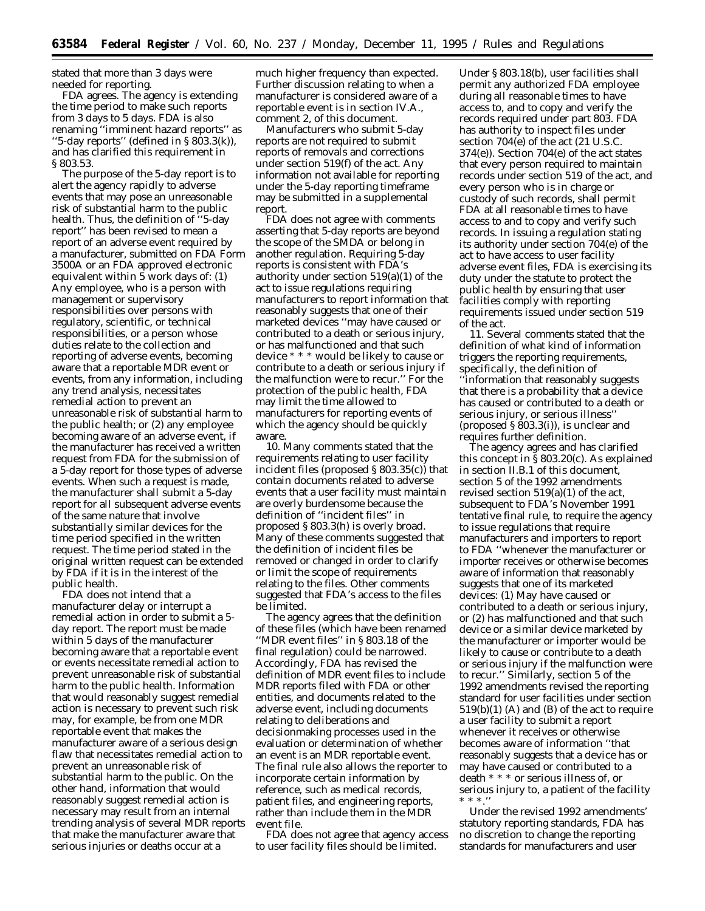stated that more than 3 days were needed for reporting.

FDA agrees. The agency is extending the time period to make such reports from 3 days to 5 days. FDA is also renaming ''imminent hazard reports'' as ''5-day reports'' (defined in § 803.3(k)), and has clarified this requirement in § 803.53.

The purpose of the 5-day report is to alert the agency rapidly to adverse events that may pose an unreasonable risk of substantial harm to the public health. Thus, the definition of ''5-day report'' has been revised to mean a report of an adverse event required by a manufacturer, submitted on FDA Form 3500A or an FDA approved electronic equivalent within 5 work days of: (1) Any employee, who is a person with management or supervisory responsibilities over persons with regulatory, scientific, or technical responsibilities, or a person whose duties relate to the collection and reporting of adverse events, becoming aware that a reportable MDR event or events, from any information, including any trend analysis, necessitates remedial action to prevent an unreasonable risk of substantial harm to the public health; or (2) any employee becoming aware of an adverse event, if the manufacturer has received a written request from FDA for the submission of a 5-day report for those types of adverse events. When such a request is made, the manufacturer shall submit a 5-day report for all subsequent adverse events of the same nature that involve substantially similar devices for the time period specified in the written request. The time period stated in the original written request can be extended by FDA if it is in the interest of the public health.

FDA does not intend that a manufacturer delay or interrupt a remedial action in order to submit a 5 day report. The report must be made within 5 days of the manufacturer becoming aware that a reportable event or events necessitate remedial action to prevent unreasonable risk of substantial harm to the public health. Information that would reasonably suggest remedial action is necessary to prevent such risk may, for example, be from one MDR reportable event that makes the manufacturer aware of a serious design flaw that necessitates remedial action to prevent an unreasonable risk of substantial harm to the public. On the other hand, information that would reasonably suggest remedial action is necessary may result from an internal trending analysis of several MDR reports that make the manufacturer aware that serious injuries or deaths occur at a

much higher frequency than expected. Further discussion relating to when a manufacturer is considered aware of a reportable event is in section IV.A., comment 2, of this document.

Manufacturers who submit 5-day reports are not required to submit reports of removals and corrections under section 519(f) of the act. Any information not available for reporting under the 5-day reporting timeframe may be submitted in a supplemental report.

FDA does not agree with comments asserting that 5-day reports are beyond the scope of the SMDA or belong in another regulation. Requiring 5-day reports is consistent with FDA's authority under section 519(a)(1) of the act to issue regulations requiring manufacturers to report information that reasonably suggests that one of their marketed devices ''may have caused or contributed to a death or serious injury, or has malfunctioned and that such device \* \* \* would be likely to cause or contribute to a death or serious injury if the malfunction were to recur.'' For the protection of the public health, FDA may limit the time allowed to manufacturers for reporting events of which the agency should be quickly aware.

10. Many comments stated that the requirements relating to user facility incident files (proposed § 803.35(c)) that contain documents related to adverse events that a user facility must maintain are overly burdensome because the definition of ''incident files'' in proposed § 803.3(h) is overly broad. Many of these comments suggested that the definition of incident files be removed or changed in order to clarify or limit the scope of requirements relating to the files. Other comments suggested that FDA's access to the files be limited.

The agency agrees that the definition of these files (which have been renamed ''MDR event files'' in § 803.18 of the final regulation) could be narrowed. Accordingly, FDA has revised the definition of MDR event files to include MDR reports filed with FDA or other entities, and documents related to the adverse event, including documents relating to deliberations and decisionmaking processes used in the evaluation or determination of whether an event is an MDR reportable event. The final rule also allows the reporter to incorporate certain information by reference, such as medical records, patient files, and engineering reports, rather than include them in the MDR event file.

FDA does not agree that agency access to user facility files should be limited.

Under § 803.18(b), user facilities shall permit any authorized FDA employee during all reasonable times to have access to, and to copy and verify the records required under part 803. FDA has authority to inspect files under section 704(e) of the act (21 U.S.C. 374(e)). Section 704(e) of the act states that every person required to maintain records under section 519 of the act, and every person who is in charge or custody of such records, shall permit FDA at all reasonable times to have access to and to copy and verify such records. In issuing a regulation stating its authority under section 704(e) of the act to have access to user facility adverse event files, FDA is exercising its duty under the statute to protect the public health by ensuring that user facilities comply with reporting requirements issued under section 519 of the act.

11. Several comments stated that the definition of what kind of information triggers the reporting requirements, specifically, the definition of ''information that reasonably suggests that there is a probability that a device has caused or contributed to a death or serious injury, or serious illness'' (proposed § 803.3(i)), is unclear and requires further definition.

The agency agrees and has clarified this concept in § 803.20(c). As explained in section II.B.1 of this document, section 5 of the 1992 amendments revised section 519(a)(1) of the act, subsequent to FDA's November 1991 tentative final rule, to require the agency to issue regulations that require manufacturers and importers to report to FDA ''whenever the manufacturer or importer receives or otherwise becomes aware of information that reasonably suggests that one of its marketed devices: (1) May have caused or contributed to a death or serious injury, or (2) has malfunctioned and that such device or a similar device marketed by the manufacturer or importer would be likely to cause or contribute to a death or serious injury if the malfunction were to recur.'' Similarly, section 5 of the 1992 amendments revised the reporting standard for user facilities under section 519(b)(1) (A) and (B) of the act to require a user facility to submit a report whenever it receives or otherwise becomes aware of information ''that reasonably suggests that a device has or may have caused or contributed to a death \* \* \* or serious illness of, or serious injury to, a patient of the facility \* \* \*.''

Under the revised 1992 amendments' statutory reporting standards, FDA has no discretion to change the reporting standards for manufacturers and user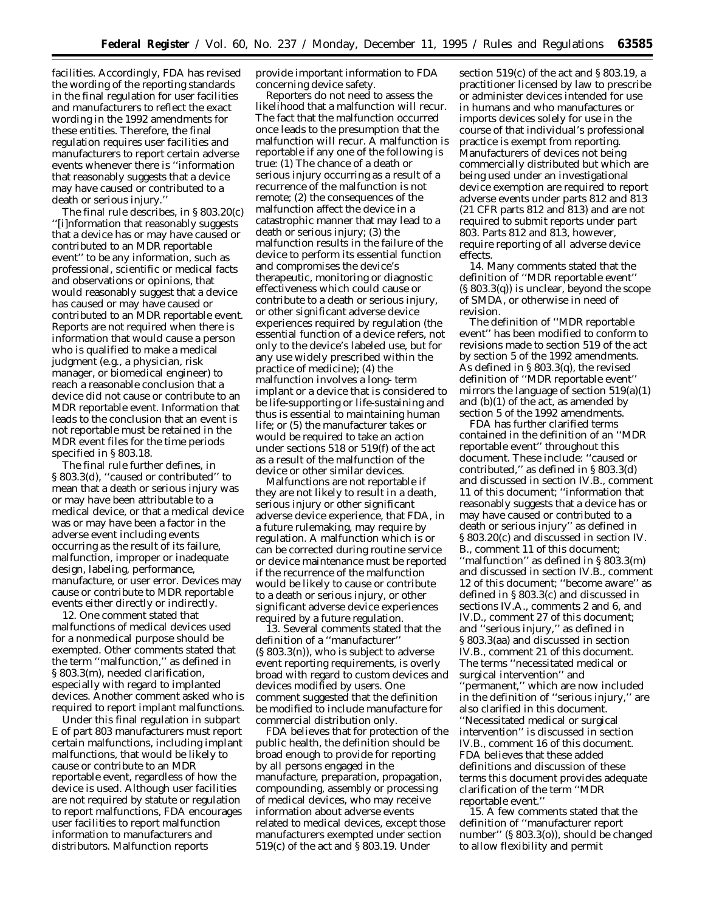facilities. Accordingly, FDA has revised the wording of the reporting standards in the final regulation for user facilities and manufacturers to reflect the exact wording in the 1992 amendments for these entities. Therefore, the final regulation requires user facilities and manufacturers to report certain adverse events whenever there is ''information that reasonably suggests that a device may have caused or contributed to a death or serious injury.''

The final rule describes, in § 803.20(c) ''[i]nformation that reasonably suggests that a device has or may have caused or contributed to an MDR reportable event'' to be any information, such as professional, scientific or medical facts and observations or opinions, that would reasonably suggest that a device has caused or may have caused or contributed to an MDR reportable event. Reports are not required when there is information that would cause a person who is qualified to make a medical judgment (e.g., a physician, risk manager, or biomedical engineer) to reach a reasonable conclusion that a device did not cause or contribute to an MDR reportable event. Information that leads to the conclusion that an event is not reportable must be retained in the MDR event files for the time periods specified in § 803.18.

The final rule further defines, in § 803.3(d), ''caused or contributed'' to mean that a death or serious injury was or may have been attributable to a medical device, or that a medical device was or may have been a factor in the adverse event including events occurring as the result of its failure, malfunction, improper or inadequate design, labeling, performance, manufacture, or user error. Devices may cause or contribute to MDR reportable events either directly or indirectly.

12. One comment stated that malfunctions of medical devices used for a nonmedical purpose should be exempted. Other comments stated that the term ''malfunction,'' as defined in § 803.3(m), needed clarification, especially with regard to implanted devices. Another comment asked who is required to report implant malfunctions.

Under this final regulation in subpart E of part 803 manufacturers must report certain malfunctions, including implant malfunctions, that would be likely to cause or contribute to an MDR reportable event, regardless of how the device is used. Although user facilities are not required by statute or regulation to report malfunctions, FDA encourages user facilities to report malfunction information to manufacturers and distributors. Malfunction reports

provide important information to FDA concerning device safety.

Reporters do not need to assess the likelihood that a malfunction will recur. The fact that the malfunction occurred once leads to the presumption that the malfunction will recur. A malfunction is reportable if any one of the following is true: (1) The chance of a death or serious injury occurring as a result of a recurrence of the malfunction is not remote; (2) the consequences of the malfunction affect the device in a catastrophic manner that may lead to a death or serious injury; (3) the malfunction results in the failure of the device to perform its essential function and compromises the device's therapeutic, monitoring or diagnostic effectiveness which could cause or contribute to a death or serious injury, or other significant adverse device experiences required by regulation (the essential function of a device refers, not only to the device's labeled use, but for any use widely prescribed within the practice of medicine); (4) the malfunction involves a long- term implant or a device that is considered to be life-supporting or life-sustaining and thus is essential to maintaining human life; or (5) the manufacturer takes or would be required to take an action under sections 518 or 519(f) of the act as a result of the malfunction of the device or other similar devices.

Malfunctions are not reportable if they are not likely to result in a death, serious injury or other significant adverse device experience, that FDA, in a future rulemaking, may require by regulation. A malfunction which is or can be corrected during routine service or device maintenance must be reported if the recurrence of the malfunction would be likely to cause or contribute to a death or serious injury, or other significant adverse device experiences required by a future regulation.

13. Several comments stated that the definition of a ''manufacturer'' (§ 803.3(n)), who is subject to adverse event reporting requirements, is overly broad with regard to custom devices and devices modified by users. One comment suggested that the definition be modified to include manufacture for commercial distribution only.

FDA believes that for protection of the public health, the definition should be broad enough to provide for reporting by all persons engaged in the manufacture, preparation, propagation, compounding, assembly or processing of medical devices, who may receive information about adverse events related to medical devices, except those manufacturers exempted under section 519(c) of the act and § 803.19. Under

section 519(c) of the act and § 803.19, a practitioner licensed by law to prescribe or administer devices intended for use in humans and who manufactures or imports devices solely for use in the course of that individual's professional practice is exempt from reporting. Manufacturers of devices not being commercially distributed but which are being used under an investigational device exemption are required to report adverse events under parts 812 and 813 (21 CFR parts 812 and 813) and are not required to submit reports under part 803. Parts 812 and 813, however, require reporting of all adverse device effects.

14. Many comments stated that the definition of ''MDR reportable event'' (§ 803.3(q)) is unclear, beyond the scope of SMDA, or otherwise in need of revision.

The definition of ''MDR reportable event'' has been modified to conform to revisions made to section 519 of the act by section 5 of the 1992 amendments. As defined in § 803.3(q), the revised definition of ''MDR reportable event'' mirrors the language of section 519(a)(1) and (b)(1) of the act, as amended by section 5 of the 1992 amendments.

FDA has further clarified terms contained in the definition of an ''MDR reportable event'' throughout this document. These include: ''caused or contributed,'' as defined in § 803.3(d) and discussed in section IV.B., comment 11 of this document; ''information that reasonably suggests that a device has or may have caused or contributed to a death or serious injury'' as defined in § 803.20(c) and discussed in section IV. B., comment 11 of this document; ''malfunction'' as defined in § 803.3(m) and discussed in section IV.B., comment 12 of this document; ''become aware'' as defined in § 803.3(c) and discussed in sections IV.A., comments 2 and 6, and IV.D., comment 27 of this document; and ''serious injury,'' as defined in § 803.3(aa) and discussed in section IV.B., comment 21 of this document. The terms ''necessitated medical or surgical intervention'' and ''permanent,'' which are now included in the definition of ''serious injury,'' are also clarified in this document. ''Necessitated medical or surgical intervention'' is discussed in section IV.B., comment 16 of this document. FDA believes that these added definitions and discussion of these terms this document provides adequate clarification of the term ''MDR reportable event.''

15. A few comments stated that the definition of ''manufacturer report number'' (§ 803.3(o)), should be changed to allow flexibility and permit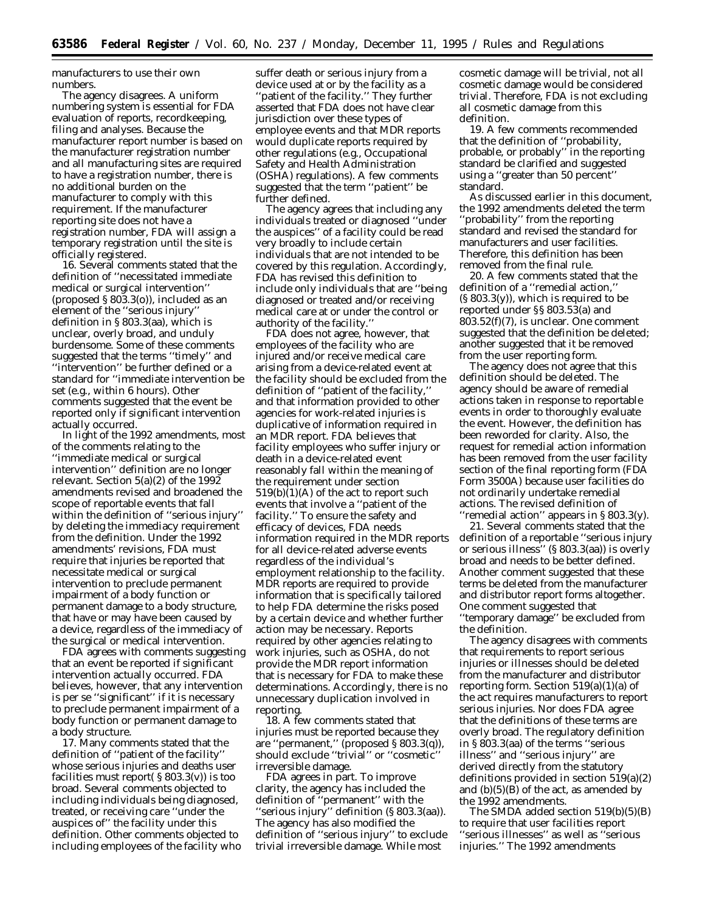manufacturers to use their own numbers.

The agency disagrees. A uniform numbering system is essential for FDA evaluation of reports, recordkeeping, filing and analyses. Because the manufacturer report number is based on the manufacturer registration number and all manufacturing sites are required to have a registration number, there is no additional burden on the manufacturer to comply with this requirement. If the manufacturer reporting site does not have a registration number, FDA will assign a temporary registration until the site is officially registered.

16. Several comments stated that the definition of ''necessitated immediate medical or surgical intervention'' (proposed § 803.3(o)), included as an element of the ''serious injury'' definition in § 803.3(aa), which is unclear, overly broad, and unduly burdensome. Some of these comments suggested that the terms ''timely'' and ''intervention'' be further defined or a standard for ''immediate intervention be set (e.g., within 6 hours). Other comments suggested that the event be reported only if significant intervention actually occurred.

In light of the 1992 amendments, most of the comments relating to the ''immediate medical or surgical intervention'' definition are no longer relevant. Section 5(a)(2) of the 1992 amendments revised and broadened the scope of reportable events that fall within the definition of ''serious injury'' by deleting the immediacy requirement from the definition. Under the 1992 amendments' revisions, FDA must require that injuries be reported that necessitate medical or surgical intervention to preclude permanent impairment of a body function or permanent damage to a body structure, that have or may have been caused by a device, regardless of the immediacy of the surgical or medical intervention.

FDA agrees with comments suggesting that an event be reported if significant intervention actually occurred. FDA believes, however, that any intervention is per se ''significant'' if it is necessary to preclude permanent impairment of a body function or permanent damage to a body structure.

17. Many comments stated that the definition of ''patient of the facility'' whose serious injuries and deaths user facilities must report( $\S 803.3(v)$ ) is too broad. Several comments objected to including individuals being diagnosed, treated, or receiving care ''under the auspices of'' the facility under this definition. Other comments objected to including employees of the facility who

suffer death or serious injury from a device used at or by the facility as a 'patient of the facility." They further asserted that FDA does not have clear jurisdiction over these types of employee events and that MDR reports would duplicate reports required by other regulations (e.g., Occupational Safety and Health Administration (OSHA) regulations). A few comments suggested that the term ''patient'' be further defined.

The agency agrees that including any individuals treated or diagnosed ''under the auspices'' of a facility could be read very broadly to include certain individuals that are not intended to be covered by this regulation. Accordingly, FDA has revised this definition to include only individuals that are ''being diagnosed or treated and/or receiving medical care at or under the control or authority of the facility.''

FDA does not agree, however, that employees of the facility who are injured and/or receive medical care arising from a device-related event at the facility should be excluded from the definition of ''patient of the facility,'' and that information provided to other agencies for work-related injuries is duplicative of information required in an MDR report. FDA believes that facility employees who suffer injury or death in a device-related event reasonably fall within the meaning of the requirement under section 519(b)(1)(A) of the act to report such events that involve a ''patient of the facility.'' To ensure the safety and efficacy of devices, FDA needs information required in the MDR reports for all device-related adverse events regardless of the individual's employment relationship to the facility. MDR reports are required to provide information that is specifically tailored to help FDA determine the risks posed by a certain device and whether further action may be necessary. Reports required by other agencies relating to work injuries, such as OSHA, do not provide the MDR report information that is necessary for FDA to make these determinations. Accordingly, there is no unnecessary duplication involved in reporting.

18. A few comments stated that injuries must be reported because they are ''permanent,'' (proposed § 803.3(q)), should exclude ''trivial'' or ''cosmetic'' irreversible damage.

FDA agrees in part. To improve clarity, the agency has included the definition of ''permanent'' with the ''serious injury'' definition (§ 803.3(aa)). The agency has also modified the definition of ''serious injury'' to exclude trivial irreversible damage. While most

cosmetic damage will be trivial, not all cosmetic damage would be considered trivial. Therefore, FDA is not excluding all cosmetic damage from this definition.

19. A few comments recommended that the definition of ''probability, probable, or probably'' in the reporting standard be clarified and suggested using a ''greater than 50 percent'' standard.

As discussed earlier in this document, the 1992 amendments deleted the term ''probability'' from the reporting standard and revised the standard for manufacturers and user facilities. Therefore, this definition has been removed from the final rule.

20. A few comments stated that the definition of a ''remedial action,''  $(S 803.3(y))$ , which is required to be reported under §§ 803.53(a) and 803.52(f)(7), is unclear. One comment suggested that the definition be deleted; another suggested that it be removed from the user reporting form.

The agency does not agree that this definition should be deleted. The agency should be aware of remedial actions taken in response to reportable events in order to thoroughly evaluate the event. However, the definition has been reworded for clarity. Also, the request for remedial action information has been removed from the user facility section of the final reporting form (FDA Form 3500A) because user facilities do not ordinarily undertake remedial actions. The revised definition of 'remedial action'' appears in  $\S 803.3(y)$ .

21. Several comments stated that the definition of a reportable ''serious injury or serious illness'' (§ 803.3(aa)) is overly broad and needs to be better defined. Another comment suggested that these terms be deleted from the manufacturer and distributor report forms altogether. One comment suggested that ''temporary damage'' be excluded from the definition.

The agency disagrees with comments that requirements to report serious injuries or illnesses should be deleted from the manufacturer and distributor reporting form. Section  $519(a)(1)(a)$  of the act requires manufacturers to report serious injuries. Nor does FDA agree that the definitions of these terms are overly broad. The regulatory definition in § 803.3(aa) of the terms ''serious illness'' and ''serious injury'' are derived directly from the statutory definitions provided in section 519(a)(2) and  $(b)(5)(B)$  of the act, as amended by the 1992 amendments.

The SMDA added section 519(b)(5)(B) to require that user facilities report ''serious illnesses'' as well as ''serious injuries.'' The 1992 amendments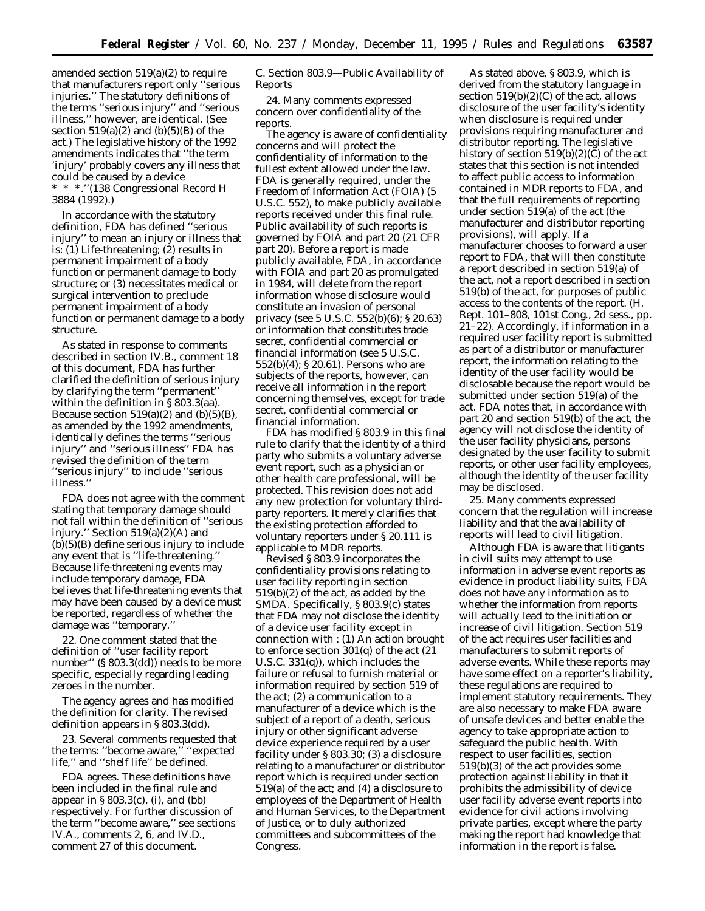amended section 519(a)(2) to require that manufacturers report only ''serious injuries.'' The statutory definitions of the terms ''serious injury'' and ''serious illness,'' however, are identical. (See section  $519(a)(2)$  and  $(b)(5)(B)$  of the act.) The legislative history of the 1992 amendments indicates that ''the term 'injury' probably covers any illness that could be caused by a device \* \* \*.''(138 Congressional Record H 3884 (1992).)

In accordance with the statutory definition, FDA has defined ''serious injury'' to mean an injury or illness that is: (1) Life-threatening; (2) results in permanent impairment of a body function or permanent damage to body structure; or (3) necessitates medical or surgical intervention to preclude permanent impairment of a body function or permanent damage to a body structure.

As stated in response to comments described in section IV.B., comment 18 of this document, FDA has further clarified the definition of serious injury by clarifying the term ''permanent'' within the definition in § 803.3(aa). Because section  $519(a)(2)$  and  $(b)(5)(B)$ , as amended by the 1992 amendments, identically defines the terms ''serious injury'' and ''serious illness'' FDA has revised the definition of the term ''serious injury'' to include ''serious illness.''

FDA does not agree with the comment stating that temporary damage should not fall within the definition of ''serious injury.'' Section 519(a)(2)(A) and  $(b)(5)(B)$  define serious injury to include any event that is ''life-threatening.'' Because life-threatening events may include temporary damage, FDA believes that life-threatening events that may have been caused by a device must be reported, regardless of whether the damage was ''temporary.''

22. One comment stated that the definition of ''user facility report number'' (§ 803.3(dd)) needs to be more specific, especially regarding leading zeroes in the number.

The agency agrees and has modified the definition for clarity. The revised definition appears in § 803.3(dd).

23. Several comments requested that the terms: ''become aware,'' ''expected life,'' and ''shelf life'' be defined.

FDA agrees. These definitions have been included in the final rule and appear in  $\S 803.3(c)$ , (i), and (bb) respectively. For further discussion of the term ''become aware,'' see sections IV.A., comments 2, 6, and IV.D., comment 27 of this document.

# *C. Section 803.9—Public Availability of Reports*

24. Many comments expressed concern over confidentiality of the reports.

The agency is aware of confidentiality concerns and will protect the confidentiality of information to the fullest extent allowed under the law. FDA is generally required, under the Freedom of Information Act (FOIA) (5 U.S.C. 552), to make publicly available reports received under this final rule. Public availability of such reports is governed by FOIA and part 20 (21 CFR part 20). Before a report is made publicly available, FDA, in accordance with FOIA and part 20 as promulgated in 1984, will delete from the report information whose disclosure would constitute an invasion of personal privacy (see 5 U.S.C. 552(b)(6); § 20.63) or information that constitutes trade secret, confidential commercial or financial information (see 5 U.S.C. 552(b)(4); § 20.61). Persons who are subjects of the reports, however, can receive all information in the report concerning themselves, except for trade secret, confidential commercial or financial information.

FDA has modified § 803.9 in this final rule to clarify that the identity of a third party who submits a voluntary adverse event report, such as a physician or other health care professional, will be protected. This revision does not add any new protection for voluntary thirdparty reporters. It merely clarifies that the existing protection afforded to voluntary reporters under § 20.111 is applicable to MDR reports.

Revised § 803.9 incorporates the confidentiality provisions relating to user facility reporting in section 519(b)(2) of the act, as added by the SMDA. Specifically, § 803.9(c) states that FDA may not disclose the identity of a device user facility except in connection with : (1) An action brought to enforce section 301(q) of the act (21 U.S.C. 331(q)), which includes the failure or refusal to furnish material or information required by section 519 of the act; (2) a communication to a manufacturer of a device which is the subject of a report of a death, serious injury or other significant adverse device experience required by a user facility under § 803.30; (3) a disclosure relating to a manufacturer or distributor report which is required under section 519(a) of the act; and (4) a disclosure to employees of the Department of Health and Human Services, to the Department of Justice, or to duly authorized committees and subcommittees of the Congress.

As stated above, § 803.9, which is derived from the statutory language in section  $519(b)(2)(C)$  of the act, allows disclosure of the user facility's identity when disclosure is required under provisions requiring manufacturer and distributor reporting. The legislative history of section  $519(b)(2)(C)$  of the act states that this section is not intended to affect public access to information contained in MDR reports to FDA, and that the full requirements of reporting under section 519(a) of the act (the manufacturer and distributor reporting provisions), will apply. If a manufacturer chooses to forward a user report to FDA, that will then constitute a report described in section 519(a) of the act, not a report described in section 519(b) of the act, for purposes of public access to the contents of the report. (H. Rept. 101–808, 101st Cong., 2d sess., pp. 21–22). Accordingly, if information in a required user facility report is submitted as part of a distributor or manufacturer report, the information relating to the identity of the user facility would be disclosable because the report would be submitted under section 519(a) of the act. FDA notes that, in accordance with part 20 and section 519(b) of the act, the agency will not disclose the identity of the user facility physicians, persons designated by the user facility to submit reports, or other user facility employees, although the identity of the user facility may be disclosed.

25. Many comments expressed concern that the regulation will increase liability and that the availability of reports will lead to civil litigation.

Although FDA is aware that litigants in civil suits may attempt to use information in adverse event reports as evidence in product liability suits, FDA does not have any information as to whether the information from reports will actually lead to the initiation or increase of civil litigation. Section 519 of the act requires user facilities and manufacturers to submit reports of adverse events. While these reports may have some effect on a reporter's liability, these regulations are required to implement statutory requirements. They are also necessary to make FDA aware of unsafe devices and better enable the agency to take appropriate action to safeguard the public health. With respect to user facilities, section 519(b)(3) of the act provides some protection against liability in that it prohibits the admissibility of device user facility adverse event reports into evidence for civil actions involving private parties, except where the party making the report had knowledge that information in the report is false.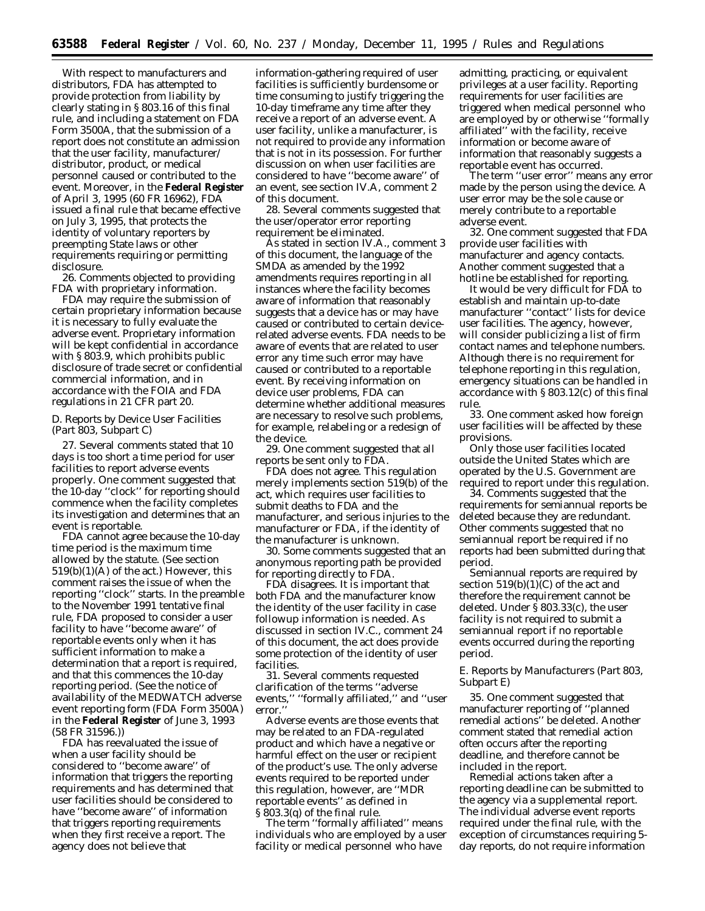With respect to manufacturers and distributors, FDA has attempted to provide protection from liability by clearly stating in § 803.16 of this final rule, and including a statement on FDA Form 3500A, that the submission of a report does not constitute an admission that the user facility, manufacturer/ distributor, product, or medical personnel caused or contributed to the event. Moreover, in the **Federal Register** of April 3, 1995 (60 FR 16962), FDA issued a final rule that became effective on July 3, 1995, that protects the identity of voluntary reporters by preempting State laws or other requirements requiring or permitting disclosure.

26. Comments objected to providing FDA with proprietary information.

FDA may require the submission of certain proprietary information because it is necessary to fully evaluate the adverse event. Proprietary information will be kept confidential in accordance with § 803.9, which prohibits public disclosure of trade secret or confidential commercial information, and in accordance with the FOIA and FDA regulations in 21 CFR part 20.

## *D. Reports by Device User Facilities (Part 803, Subpart C)*

27. Several comments stated that 10 days is too short a time period for user facilities to report adverse events properly. One comment suggested that the 10-day ''clock'' for reporting should commence when the facility completes its investigation and determines that an event is reportable.

FDA cannot agree because the 10-day time period is the maximum time allowed by the statute. (See section  $519(b)(1)(A)$  of the act.) However, this comment raises the issue of when the reporting ''clock'' starts. In the preamble to the November 1991 tentative final rule, FDA proposed to consider a user facility to have ''become aware'' of reportable events only when it has sufficient information to make a determination that a report is required, and that this commences the 10-day reporting period. (See the notice of availability of the MEDWATCH adverse event reporting form (FDA Form 3500A) in the **Federal Register** of June 3, 1993 (58 FR 31596.))

FDA has reevaluated the issue of when a user facility should be considered to ''become aware'' of information that triggers the reporting requirements and has determined that user facilities should be considered to have ''become aware'' of information that triggers reporting requirements when they first receive a report. The agency does not believe that

information-gathering required of user facilities is sufficiently burdensome or time consuming to justify triggering the 10-day timeframe any time after they receive a report of an adverse event. A user facility, unlike a manufacturer, is not required to provide any information that is not in its possession. For further discussion on when user facilities are considered to have ''become aware'' of an event, see section IV.A, comment 2 of this document.

28. Several comments suggested that the user/operator error reporting requirement be eliminated.

As stated in section IV.A., comment 3 of this document, the language of the SMDA as amended by the 1992 amendments requires reporting in all instances where the facility becomes aware of information that reasonably suggests that a device has or may have caused or contributed to certain devicerelated adverse events. FDA needs to be aware of events that are related to user error any time such error may have caused or contributed to a reportable event. By receiving information on device user problems, FDA can determine whether additional measures are necessary to resolve such problems, for example, relabeling or a redesign of the device.

29. One comment suggested that all reports be sent only to FDA.

FDA does not agree. This regulation merely implements section 519(b) of the act, which requires user facilities to submit deaths to FDA and the manufacturer, and serious injuries to the manufacturer or FDA, if the identity of the manufacturer is unknown.

30. Some comments suggested that an anonymous reporting path be provided for reporting directly to FDA.

FDA disagrees. It is important that both FDA and the manufacturer know the identity of the user facility in case followup information is needed. As discussed in section IV.C., comment 24 of this document, the act does provide some protection of the identity of user facilities.

31. Several comments requested clarification of the terms ''adverse events,'' ''formally affiliated,'' and ''user error.''

Adverse events are those events that may be related to an FDA-regulated product and which have a negative or harmful effect on the user or recipient of the product's use. The only adverse events required to be reported under this regulation, however, are ''MDR reportable events'' as defined in § 803.3(q) of the final rule.

The term ''formally affiliated'' means individuals who are employed by a user facility or medical personnel who have

admitting, practicing, or equivalent privileges at a user facility. Reporting requirements for user facilities are triggered when medical personnel who are employed by or otherwise ''formally affiliated'' with the facility, receive information or become aware of information that reasonably suggests a reportable event has occurred.

The term ''user error'' means any error made by the person using the device. A user error may be the sole cause or merely contribute to a reportable adverse event.

32. One comment suggested that FDA provide user facilities with manufacturer and agency contacts. Another comment suggested that a hotline be established for reporting.

It would be very difficult for FDA to establish and maintain up-to-date manufacturer ''contact'' lists for device user facilities. The agency, however, will consider publicizing a list of firm contact names and telephone numbers. Although there is no requirement for telephone reporting in this regulation, emergency situations can be handled in accordance with § 803.12(c) of this final rule.

33. One comment asked how foreign user facilities will be affected by these provisions.

Only those user facilities located outside the United States which are operated by the U.S. Government are required to report under this regulation.

34. Comments suggested that the requirements for semiannual reports be deleted because they are redundant. Other comments suggested that no semiannual report be required if no reports had been submitted during that period.

Semiannual reports are required by section 519(b)(1)(C) of the act and therefore the requirement cannot be deleted. Under § 803.33(c), the user facility is not required to submit a semiannual report if no reportable events occurred during the reporting period.

## *E. Reports by Manufacturers (Part 803, Subpart E)*

35. One comment suggested that manufacturer reporting of ''planned remedial actions'' be deleted. Another comment stated that remedial action often occurs after the reporting deadline, and therefore cannot be included in the report.

Remedial actions taken after a reporting deadline can be submitted to the agency via a supplemental report. The individual adverse event reports required under the final rule, with the exception of circumstances requiring 5 day reports, do not require information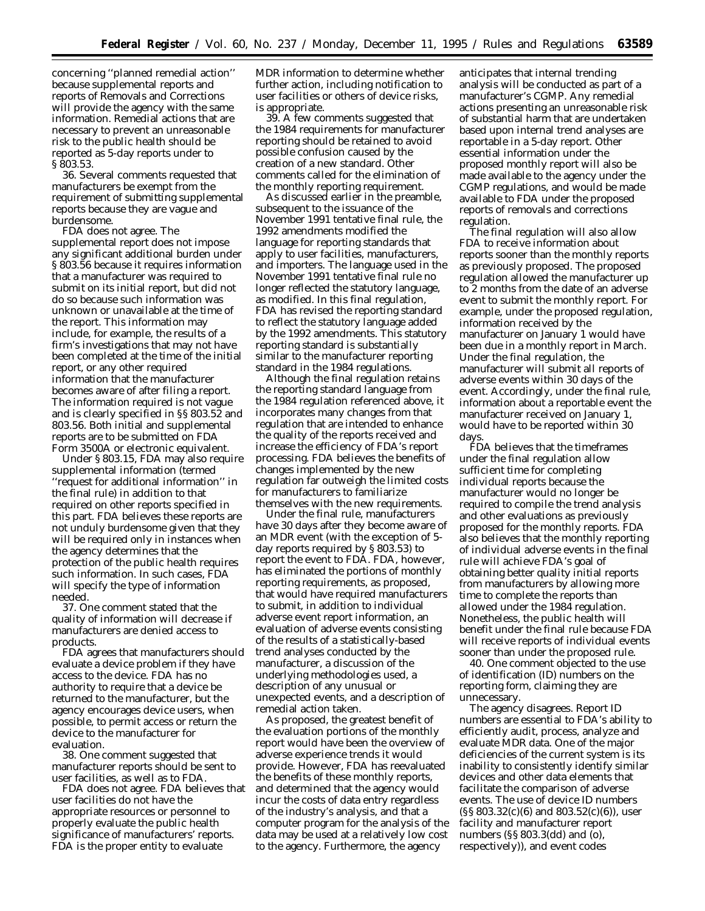concerning ''planned remedial action'' because supplemental reports and reports of Removals and Corrections will provide the agency with the same information. Remedial actions that are necessary to prevent an unreasonable risk to the public health should be reported as 5-day reports under to § 803.53.

36. Several comments requested that manufacturers be exempt from the requirement of submitting supplemental reports because they are vague and burdensome.

FDA does not agree. The supplemental report does not impose any significant additional burden under § 803.56 because it requires information that a manufacturer was required to submit on its initial report, but did not do so because such information was unknown or unavailable at the time of the report. This information may include, for example, the results of a firm's investigations that may not have been completed at the time of the initial report, or any other required information that the manufacturer becomes aware of after filing a report. The information required is not vague and is clearly specified in §§ 803.52 and 803.56. Both initial and supplemental reports are to be submitted on FDA Form 3500A or electronic equivalent.

Under § 803.15, FDA may also require supplemental information (termed ''request for additional information'' in the final rule) in addition to that required on other reports specified in this part. FDA believes these reports are not unduly burdensome given that they will be required only in instances when the agency determines that the protection of the public health requires such information. In such cases, FDA will specify the type of information needed.

37. One comment stated that the quality of information will decrease if manufacturers are denied access to products.

FDA agrees that manufacturers should evaluate a device problem if they have access to the device. FDA has no authority to require that a device be returned to the manufacturer, but the agency encourages device users, when possible, to permit access or return the device to the manufacturer for evaluation.

38. One comment suggested that manufacturer reports should be sent to user facilities, as well as to FDA.

FDA does not agree. FDA believes that user facilities do not have the appropriate resources or personnel to properly evaluate the public health significance of manufacturers' reports. FDA is the proper entity to evaluate

MDR information to determine whether further action, including notification to user facilities or others of device risks, is appropriate.

39. A few comments suggested that the 1984 requirements for manufacturer reporting should be retained to avoid possible confusion caused by the creation of a new standard. Other comments called for the elimination of the monthly reporting requirement.

As discussed earlier in the preamble, subsequent to the issuance of the November 1991 tentative final rule, the 1992 amendments modified the language for reporting standards that apply to user facilities, manufacturers, and importers. The language used in the November 1991 tentative final rule no longer reflected the statutory language, as modified. In this final regulation, FDA has revised the reporting standard to reflect the statutory language added by the 1992 amendments. This statutory reporting standard is substantially similar to the manufacturer reporting standard in the 1984 regulations.

Although the final regulation retains the reporting standard language from the 1984 regulation referenced above, it incorporates many changes from that regulation that are intended to enhance the quality of the reports received and increase the efficiency of FDA's report processing. FDA believes the benefits of changes implemented by the new regulation far outweigh the limited costs for manufacturers to familiarize themselves with the new requirements.

Under the final rule, manufacturers have 30 days after they become aware of an MDR event (with the exception of 5 day reports required by § 803.53) to report the event to FDA. FDA, however, has eliminated the portions of monthly reporting requirements, as proposed, that would have required manufacturers to submit, in addition to individual adverse event report information, an evaluation of adverse events consisting of the results of a statistically-based trend analyses conducted by the manufacturer, a discussion of the underlying methodologies used, a description of any unusual or unexpected events, and a description of remedial action taken.

As proposed, the greatest benefit of the evaluation portions of the monthly report would have been the overview of adverse experience trends it would provide. However, FDA has reevaluated the benefits of these monthly reports, and determined that the agency would incur the costs of data entry regardless of the industry's analysis, and that a computer program for the analysis of the data may be used at a relatively low cost to the agency. Furthermore, the agency

anticipates that internal trending analysis will be conducted as part of a manufacturer's CGMP. Any remedial actions presenting an unreasonable risk of substantial harm that are undertaken based upon internal trend analyses are reportable in a 5-day report. Other essential information under the proposed monthly report will also be made available to the agency under the CGMP regulations, and would be made available to FDA under the proposed reports of removals and corrections regulation.

The final regulation will also allow FDA to receive information about reports sooner than the monthly reports as previously proposed. The proposed regulation allowed the manufacturer up to 2 months from the date of an adverse event to submit the monthly report. For example, under the proposed regulation, information received by the manufacturer on January 1 would have been due in a monthly report in March. Under the final regulation, the manufacturer will submit all reports of adverse events within 30 days of the event. Accordingly, under the final rule, information about a reportable event the manufacturer received on January 1, would have to be reported within 30 days.

FDA believes that the timeframes under the final regulation allow sufficient time for completing individual reports because the manufacturer would no longer be required to compile the trend analysis and other evaluations as previously proposed for the monthly reports. FDA also believes that the monthly reporting of individual adverse events in the final rule will achieve FDA's goal of obtaining better quality initial reports from manufacturers by allowing more time to complete the reports than allowed under the 1984 regulation. Nonetheless, the public health will benefit under the final rule because FDA will receive reports of individual events sooner than under the proposed rule.

40. One comment objected to the use of identification (ID) numbers on the reporting form, claiming they are unnecessary.

The agency disagrees. Report ID numbers are essential to FDA's ability to efficiently audit, process, analyze and evaluate MDR data. One of the major deficiencies of the current system is its inability to consistently identify similar devices and other data elements that facilitate the comparison of adverse events. The use of device ID numbers (§§ 803.32(c)(6) and 803.52(c)(6)), user facility and manufacturer report numbers (§§ 803.3(dd) and (o), respectively)), and event codes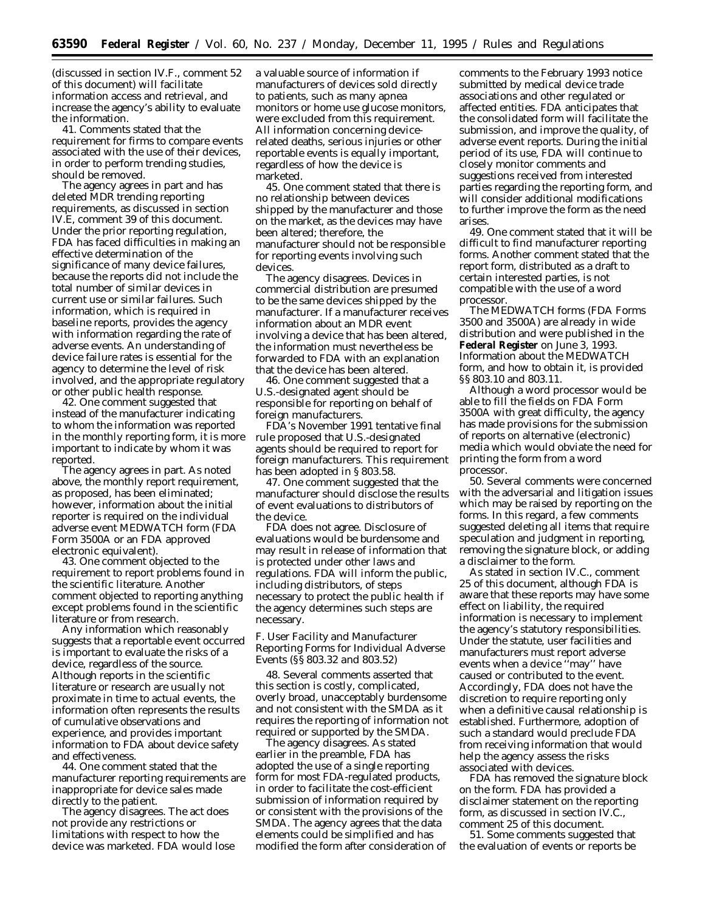(discussed in section IV.F., comment 52 of this document) will facilitate information access and retrieval, and increase the agency's ability to evaluate the information.

41. Comments stated that the requirement for firms to compare events associated with the use of their devices, in order to perform trending studies, should be removed.

The agency agrees in part and has deleted MDR trending reporting requirements, as discussed in section IV.E, comment 39 of this document. Under the prior reporting regulation, FDA has faced difficulties in making an effective determination of the significance of many device failures, because the reports did not include the total number of similar devices in current use or similar failures. Such information, which is required in baseline reports, provides the agency with information regarding the rate of adverse events. An understanding of device failure rates is essential for the agency to determine the level of risk involved, and the appropriate regulatory or other public health response.

42. One comment suggested that instead of the manufacturer indicating to whom the information was reported in the monthly reporting form, it is more important to indicate by whom it was reported.

The agency agrees in part. As noted above, the monthly report requirement, as proposed, has been eliminated; however, information about the initial reporter is required on the individual adverse event MEDWATCH form (FDA Form 3500A or an FDA approved electronic equivalent).

43. One comment objected to the requirement to report problems found in the scientific literature. Another comment objected to reporting anything except problems found in the scientific literature or from research.

Any information which reasonably suggests that a reportable event occurred is important to evaluate the risks of a device, regardless of the source. Although reports in the scientific literature or research are usually not proximate in time to actual events, the information often represents the results of cumulative observations and experience, and provides important information to FDA about device safety and effectiveness.

44. One comment stated that the manufacturer reporting requirements are inappropriate for device sales made directly to the patient.

The agency disagrees. The act does not provide any restrictions or limitations with respect to how the device was marketed. FDA would lose a valuable source of information if manufacturers of devices sold directly to patients, such as many apnea monitors or home use glucose monitors, were excluded from this requirement. All information concerning devicerelated deaths, serious injuries or other reportable events is equally important, regardless of how the device is marketed.

45. One comment stated that there is no relationship between devices shipped by the manufacturer and those on the market, as the devices may have been altered; therefore, the manufacturer should not be responsible for reporting events involving such devices.

The agency disagrees. Devices in commercial distribution are presumed to be the same devices shipped by the manufacturer. If a manufacturer receives information about an MDR event involving a device that has been altered, the information must nevertheless be forwarded to FDA with an explanation that the device has been altered.

46. One comment suggested that a U.S.-designated agent should be responsible for reporting on behalf of foreign manufacturers.

FDA's November 1991 tentative final rule proposed that U.S.-designated agents should be required to report for foreign manufacturers. This requirement has been adopted in § 803.58.

47. One comment suggested that the manufacturer should disclose the results of event evaluations to distributors of the device.

FDA does not agree. Disclosure of evaluations would be burdensome and may result in release of information that is protected under other laws and regulations. FDA will inform the public, including distributors, of steps necessary to protect the public health if the agency determines such steps are necessary.

## *F. User Facility and Manufacturer Reporting Forms for Individual Adverse Events (§§ 803.32 and 803.52)*

48. Several comments asserted that this section is costly, complicated, overly broad, unacceptably burdensome and not consistent with the SMDA as it requires the reporting of information not required or supported by the SMDA.

The agency disagrees. As stated earlier in the preamble, FDA has adopted the use of a single reporting form for most FDA-regulated products, in order to facilitate the cost-efficient submission of information required by or consistent with the provisions of the SMDA. The agency agrees that the data elements could be simplified and has modified the form after consideration of comments to the February 1993 notice submitted by medical device trade associations and other regulated or affected entities. FDA anticipates that the consolidated form will facilitate the submission, and improve the quality, of adverse event reports. During the initial period of its use, FDA will continue to closely monitor comments and suggestions received from interested parties regarding the reporting form, and will consider additional modifications to further improve the form as the need arises.

49. One comment stated that it will be difficult to find manufacturer reporting forms. Another comment stated that the report form, distributed as a draft to certain interested parties, is not compatible with the use of a word processor.

The MEDWATCH forms (FDA Forms 3500 and 3500A) are already in wide distribution and were published in the **Federal Register** on June 3, 1993. Information about the MEDWATCH form, and how to obtain it, is provided §§ 803.10 and 803.11.

Although a word processor would be able to fill the fields on FDA Form 3500A with great difficulty, the agency has made provisions for the submission of reports on alternative (electronic) media which would obviate the need for printing the form from a word processor.

50. Several comments were concerned with the adversarial and litigation issues which may be raised by reporting on the forms. In this regard, a few comments suggested deleting all items that require speculation and judgment in reporting, removing the signature block, or adding a disclaimer to the form.

As stated in section IV.C., comment 25 of this document, although FDA is aware that these reports may have some effect on liability, the required information is necessary to implement the agency's statutory responsibilities. Under the statute, user facilities and manufacturers must report adverse events when a device ''may'' have caused or contributed to the event. Accordingly, FDA does not have the discretion to require reporting only when a definitive causal relationship is established. Furthermore, adoption of such a standard would preclude FDA from receiving information that would help the agency assess the risks associated with devices.

FDA has removed the signature block on the form. FDA has provided a disclaimer statement on the reporting form, as discussed in section IV.C., comment 25 of this document.

51. Some comments suggested that the evaluation of events or reports be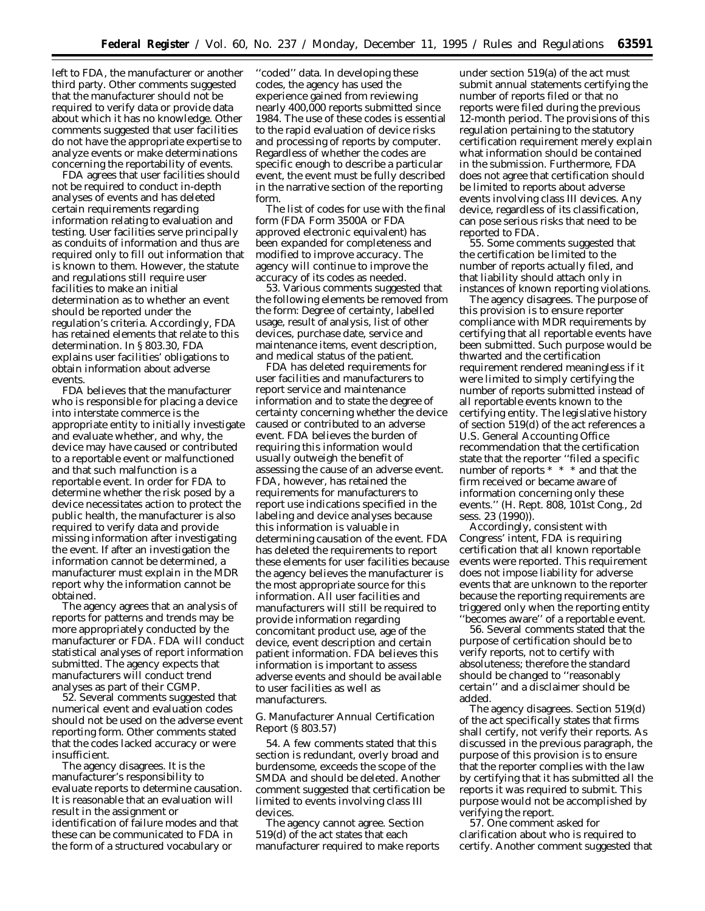left to FDA, the manufacturer or another third party. Other comments suggested that the manufacturer should not be required to verify data or provide data about which it has no knowledge. Other comments suggested that user facilities do not have the appropriate expertise to analyze events or make determinations concerning the reportability of events.

FDA agrees that user facilities should not be required to conduct in-depth analyses of events and has deleted certain requirements regarding information relating to evaluation and testing. User facilities serve principally as conduits of information and thus are required only to fill out information that is known to them. However, the statute and regulations still require user facilities to make an initial determination as to whether an event should be reported under the regulation's criteria. Accordingly, FDA has retained elements that relate to this determination. In § 803.30, FDA explains user facilities' obligations to obtain information about adverse events.

FDA believes that the manufacturer who is responsible for placing a device into interstate commerce is the appropriate entity to initially investigate and evaluate whether, and why, the device may have caused or contributed to a reportable event or malfunctioned and that such malfunction is a reportable event. In order for FDA to determine whether the risk posed by a device necessitates action to protect the public health, the manufacturer is also required to verify data and provide missing information after investigating the event. If after an investigation the information cannot be determined, a manufacturer must explain in the MDR report why the information cannot be obtained.

The agency agrees that an analysis of reports for patterns and trends may be more appropriately conducted by the manufacturer or FDA. FDA will conduct statistical analyses of report information submitted. The agency expects that manufacturers will conduct trend analyses as part of their CGMP.

52. Several comments suggested that numerical event and evaluation codes should not be used on the adverse event reporting form. Other comments stated that the codes lacked accuracy or were insufficient.

The agency disagrees. It is the manufacturer's responsibility to evaluate reports to determine causation. It is reasonable that an evaluation will result in the assignment or identification of failure modes and that these can be communicated to FDA in the form of a structured vocabulary or

''coded'' data. In developing these codes, the agency has used the experience gained from reviewing nearly 400,000 reports submitted since 1984. The use of these codes is essential to the rapid evaluation of device risks and processing of reports by computer. Regardless of whether the codes are specific enough to describe a particular event, the event must be fully described in the narrative section of the reporting form.

The list of codes for use with the final form (FDA Form 3500A or FDA approved electronic equivalent) has been expanded for completeness and modified to improve accuracy. The agency will continue to improve the accuracy of its codes as needed.

53. Various comments suggested that the following elements be removed from the form: Degree of certainty, labelled usage, result of analysis, list of other devices, purchase date, service and maintenance items, event description, and medical status of the patient.

FDA has deleted requirements for user facilities and manufacturers to report service and maintenance information and to state the degree of certainty concerning whether the device caused or contributed to an adverse event. FDA believes the burden of requiring this information would usually outweigh the benefit of assessing the cause of an adverse event. FDA, however, has retained the requirements for manufacturers to report use indications specified in the labeling and device analyses because this information is valuable in determining causation of the event. FDA has deleted the requirements to report these elements for user facilities because the agency believes the manufacturer is the most appropriate source for this information. All user facilities and manufacturers will still be required to provide information regarding concomitant product use, age of the device, event description and certain patient information. FDA believes this information is important to assess adverse events and should be available to user facilities as well as manufacturers.

## *G. Manufacturer Annual Certification Report (§ 803.57)*

54. A few comments stated that this section is redundant, overly broad and burdensome, exceeds the scope of the SMDA and should be deleted. Another comment suggested that certification be limited to events involving class III devices.

The agency cannot agree. Section 519(d) of the act states that each manufacturer required to make reports

under section 519(a) of the act must submit annual statements certifying the number of reports filed or that no reports were filed during the previous 12-month period. The provisions of this regulation pertaining to the statutory certification requirement merely explain what information should be contained in the submission. Furthermore, FDA does not agree that certification should be limited to reports about adverse events involving class III devices. Any device, regardless of its classification, can pose serious risks that need to be reported to FDA.

55. Some comments suggested that the certification be limited to the number of reports actually filed, and that liability should attach only in instances of known reporting violations.

The agency disagrees. The purpose of this provision is to ensure reporter compliance with MDR requirements by certifying that all reportable events have been submitted. Such purpose would be thwarted and the certification requirement rendered meaningless if it were limited to simply certifying the number of reports submitted instead of all reportable events known to the certifying entity. The legislative history of section 519(d) of the act references a U.S. General Accounting Office recommendation that the certification state that the reporter ''filed a specific number of reports \* \* \* and that the firm received or became aware of information concerning only these events.'' (H. Rept. 808, 101st Cong., 2d sess. 23 (1990)).

Accordingly, consistent with Congress' intent, FDA is requiring certification that all known reportable events were reported. This requirement does not impose liability for adverse events that are unknown to the reporter because the reporting requirements are triggered only when the reporting entity ''becomes aware'' of a reportable event.

56. Several comments stated that the purpose of certification should be to verify reports, not to certify with absoluteness; therefore the standard should be changed to ''reasonably certain'' and a disclaimer should be added.

The agency disagrees. Section 519(d) of the act specifically states that firms shall certify, not verify their reports. As discussed in the previous paragraph, the purpose of this provision is to ensure that the reporter complies with the law by certifying that it has submitted all the reports it was required to submit. This purpose would not be accomplished by verifying the report.

57. One comment asked for clarification about who is required to certify. Another comment suggested that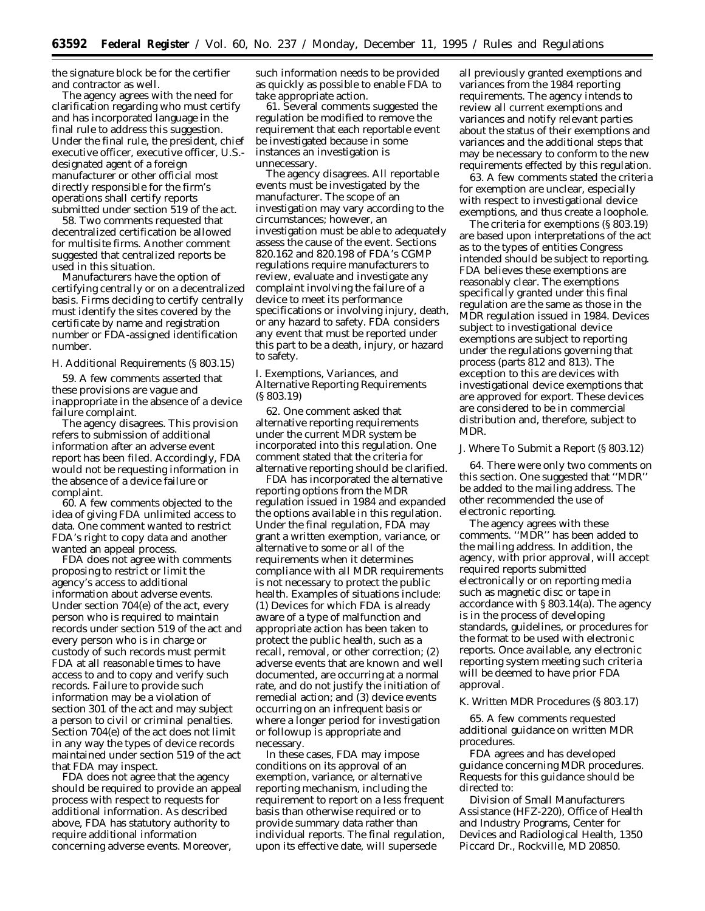the signature block be for the certifier and contractor as well.

The agency agrees with the need for clarification regarding who must certify and has incorporated language in the final rule to address this suggestion. Under the final rule, the president, chief executive officer, executive officer, U.S. designated agent of a foreign manufacturer or other official most directly responsible for the firm's operations shall certify reports submitted under section 519 of the act.

58. Two comments requested that decentralized certification be allowed for multisite firms. Another comment suggested that centralized reports be used in this situation.

Manufacturers have the option of certifying centrally or on a decentralized basis. Firms deciding to certify centrally must identify the sites covered by the certificate by name and registration number or FDA-assigned identification number.

### *H. Additional Requirements (§ 803.15)*

59. A few comments asserted that these provisions are vague and inappropriate in the absence of a device failure complaint.

The agency disagrees. This provision refers to submission of additional information after an adverse event report has been filed. Accordingly, FDA would not be requesting information in the absence of a device failure or complaint.

60. A few comments objected to the idea of giving FDA unlimited access to data. One comment wanted to restrict FDA's right to copy data and another wanted an appeal process.

FDA does not agree with comments proposing to restrict or limit the agency's access to additional information about adverse events. Under section 704(e) of the act, every person who is required to maintain records under section 519 of the act and every person who is in charge or custody of such records must permit FDA at all reasonable times to have access to and to copy and verify such records. Failure to provide such information may be a violation of section 301 of the act and may subject a person to civil or criminal penalties. Section 704(e) of the act does not limit in any way the types of device records maintained under section 519 of the act that FDA may inspect.

FDA does not agree that the agency should be required to provide an appeal process with respect to requests for additional information. As described above, FDA has statutory authority to require additional information concerning adverse events. Moreover,

such information needs to be provided as quickly as possible to enable FDA to take appropriate action.

61. Several comments suggested the regulation be modified to remove the requirement that each reportable event be investigated because in some instances an investigation is unnecessary.

The agency disagrees. All reportable events must be investigated by the manufacturer. The scope of an investigation may vary according to the circumstances; however, an investigation must be able to adequately assess the cause of the event. Sections 820.162 and 820.198 of FDA's CGMP regulations require manufacturers to review, evaluate and investigate any complaint involving the failure of a device to meet its performance specifications or involving injury, death, or any hazard to safety. FDA considers any event that must be reported under this part to be a death, injury, or hazard to safety.

# *I. Exemptions, Variances, and Alternative Reporting Requirements (§ 803.19)*

62. One comment asked that alternative reporting requirements under the current MDR system be incorporated into this regulation. One comment stated that the criteria for alternative reporting should be clarified.

FDA has incorporated the alternative reporting options from the MDR regulation issued in 1984 and expanded the options available in this regulation. Under the final regulation, FDA may grant a written exemption, variance, or alternative to some or all of the requirements when it determines compliance with all MDR requirements is not necessary to protect the public health. Examples of situations include: (1) Devices for which FDA is already aware of a type of malfunction and appropriate action has been taken to protect the public health, such as a recall, removal, or other correction; (2) adverse events that are known and well documented, are occurring at a normal rate, and do not justify the initiation of remedial action; and (3) device events occurring on an infrequent basis or where a longer period for investigation or followup is appropriate and necessary.

In these cases, FDA may impose conditions on its approval of an exemption, variance, or alternative reporting mechanism, including the requirement to report on a less frequent basis than otherwise required or to provide summary data rather than individual reports. The final regulation, upon its effective date, will supersede

all previously granted exemptions and variances from the 1984 reporting requirements. The agency intends to review all current exemptions and variances and notify relevant parties about the status of their exemptions and variances and the additional steps that may be necessary to conform to the new requirements effected by this regulation.

63. A few comments stated the criteria for exemption are unclear, especially with respect to investigational device exemptions, and thus create a loophole.

The criteria for exemptions (§ 803.19) are based upon interpretations of the act as to the types of entities Congress intended should be subject to reporting. FDA believes these exemptions are reasonably clear. The exemptions specifically granted under this final regulation are the same as those in the MDR regulation issued in 1984. Devices subject to investigational device exemptions are subject to reporting under the regulations governing that process (parts 812 and 813). The exception to this are devices with investigational device exemptions that are approved for export. These devices are considered to be in commercial distribution and, therefore, subject to MDR.

### *J. Where To Submit a Report (§ 803.12)*

64. There were only two comments on this section. One suggested that ''MDR'' be added to the mailing address. The other recommended the use of electronic reporting.

The agency agrees with these comments. ''MDR'' has been added to the mailing address. In addition, the agency, with prior approval, will accept required reports submitted electronically or on reporting media such as magnetic disc or tape in accordance with § 803.14(a). The agency is in the process of developing standards, guidelines, or procedures for the format to be used with electronic reports. Once available, any electronic reporting system meeting such criteria will be deemed to have prior FDA approval.

### *K. Written MDR Procedures (§ 803.17)*

65. A few comments requested additional guidance on written MDR procedures.

FDA agrees and has developed guidance concerning MDR procedures. Requests for this guidance should be directed to:

Division of Small Manufacturers Assistance (HFZ-220), Office of Health and Industry Programs, Center for Devices and Radiological Health, 1350 Piccard Dr., Rockville, MD 20850.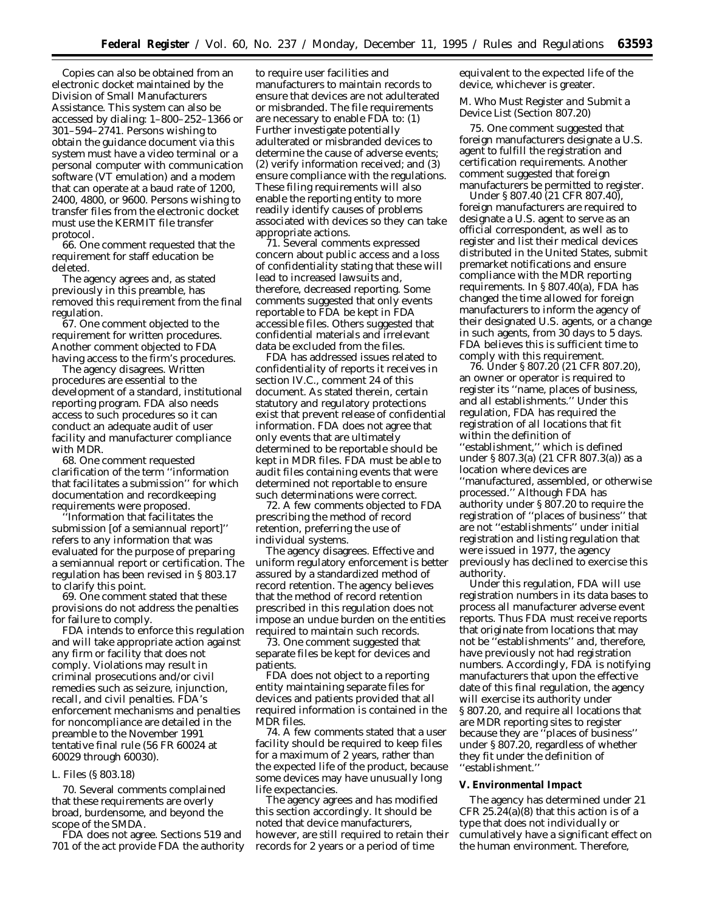Copies can also be obtained from an electronic docket maintained by the Division of Small Manufacturers Assistance. This system can also be accessed by dialing: 1–800–252–1366 or 301–594–2741. Persons wishing to obtain the guidance document via this system must have a video terminal or a personal computer with communication software (VT emulation) and a modem that can operate at a baud rate of 1200, 2400, 4800, or 9600. Persons wishing to transfer files from the electronic docket must use the KERMIT file transfer protocol.

66. One comment requested that the requirement for staff education be deleted.

The agency agrees and, as stated previously in this preamble, has removed this requirement from the final regulation.

67. One comment objected to the requirement for written procedures. Another comment objected to FDA having access to the firm's procedures.

The agency disagrees. Written procedures are essential to the development of a standard, institutional reporting program. FDA also needs access to such procedures so it can conduct an adequate audit of user facility and manufacturer compliance with MDR.

68. One comment requested clarification of the term ''information that facilitates a submission'' for which documentation and recordkeeping requirements were proposed.

''Information that facilitates the submission [of a semiannual report]'' refers to any information that was evaluated for the purpose of preparing a semiannual report or certification. The regulation has been revised in § 803.17 to clarify this point.

69. One comment stated that these provisions do not address the penalties for failure to comply.

FDA intends to enforce this regulation and will take appropriate action against any firm or facility that does not comply. Violations may result in criminal prosecutions and/or civil remedies such as seizure, injunction, recall, and civil penalties. FDA's enforcement mechanisms and penalties for noncompliance are detailed in the preamble to the November 1991 tentative final rule (56 FR 60024 at 60029 through 60030).

## *L. Files (§ 803.18)*

70. Several comments complained that these requirements are overly broad, burdensome, and beyond the scope of the SMDA.

FDA does not agree. Sections 519 and 701 of the act provide FDA the authority

to require user facilities and manufacturers to maintain records to ensure that devices are not adulterated or misbranded. The file requirements are necessary to enable FDA to: (1) Further investigate potentially adulterated or misbranded devices to determine the cause of adverse events; (2) verify information received; and (3) ensure compliance with the regulations. These filing requirements will also enable the reporting entity to more readily identify causes of problems associated with devices so they can take appropriate actions.

71. Several comments expressed concern about public access and a loss of confidentiality stating that these will lead to increased lawsuits and, therefore, decreased reporting. Some comments suggested that only events reportable to FDA be kept in FDA accessible files. Others suggested that confidential materials and irrelevant data be excluded from the files.

FDA has addressed issues related to confidentiality of reports it receives in section IV.C., comment 24 of this document. As stated therein, certain statutory and regulatory protections exist that prevent release of confidential information. FDA does not agree that only events that are ultimately determined to be reportable should be kept in MDR files. FDA must be able to audit files containing events that were determined not reportable to ensure such determinations were correct.

72. A few comments objected to FDA prescribing the method of record retention, preferring the use of individual systems.

The agency disagrees. Effective and uniform regulatory enforcement is better assured by a standardized method of record retention. The agency believes that the method of record retention prescribed in this regulation does not impose an undue burden on the entities required to maintain such records.

73. One comment suggested that separate files be kept for devices and patients.

FDA does not object to a reporting entity maintaining separate files for devices and patients provided that all required information is contained in the MDR files.

74. A few comments stated that a user facility should be required to keep files for a maximum of 2 years, rather than the expected life of the product, because some devices may have unusually long life expectancies.

The agency agrees and has modified this section accordingly. It should be noted that device manufacturers, however, are still required to retain their records for 2 years or a period of time

equivalent to the expected life of the device, whichever is greater.

*M. Who Must Register and Submit a Device List (Section 807.20)*

75. One comment suggested that foreign manufacturers designate a U.S. agent to fulfill the registration and certification requirements. Another comment suggested that foreign manufacturers be permitted to register.

Under § 807.40 (21 CFR 807.40), foreign manufacturers are required to designate a U.S. agent to serve as an official correspondent, as well as to register and list their medical devices distributed in the United States, submit premarket notifications and ensure compliance with the MDR reporting requirements. In § 807.40(a), FDA has changed the time allowed for foreign manufacturers to inform the agency of their designated U.S. agents, or a change in such agents, from 30 days to 5 days. FDA believes this is sufficient time to comply with this requirement.

76. Under § 807.20 (21 CFR 807.20), an owner or operator is required to register its ''name, places of business, and all establishments.'' Under this regulation, FDA has required the registration of all locations that fit within the definition of

''establishment,'' which is defined under § 807.3(a) (21 CFR 807.3(a)) as a location where devices are ''manufactured, assembled, or otherwise processed.'' Although FDA has authority under § 807.20 to require the registration of ''places of business'' that are not ''establishments'' under initial registration and listing regulation that were issued in 1977, the agency previously has declined to exercise this authority.

Under this regulation, FDA will use registration numbers in its data bases to process all manufacturer adverse event reports. Thus FDA must receive reports that originate from locations that may not be ''establishments'' and, therefore, have previously not had registration numbers. Accordingly, FDA is notifying manufacturers that upon the effective date of this final regulation, the agency will exercise its authority under § 807.20, and require all locations that are MDR reporting sites to register because they are ''places of business'' under § 807.20, regardless of whether they fit under the definition of ''establishment.''

#### **V. Environmental Impact**

The agency has determined under 21 CFR 25.24(a)(8) that this action is of a type that does not individually or cumulatively have a significant effect on the human environment. Therefore,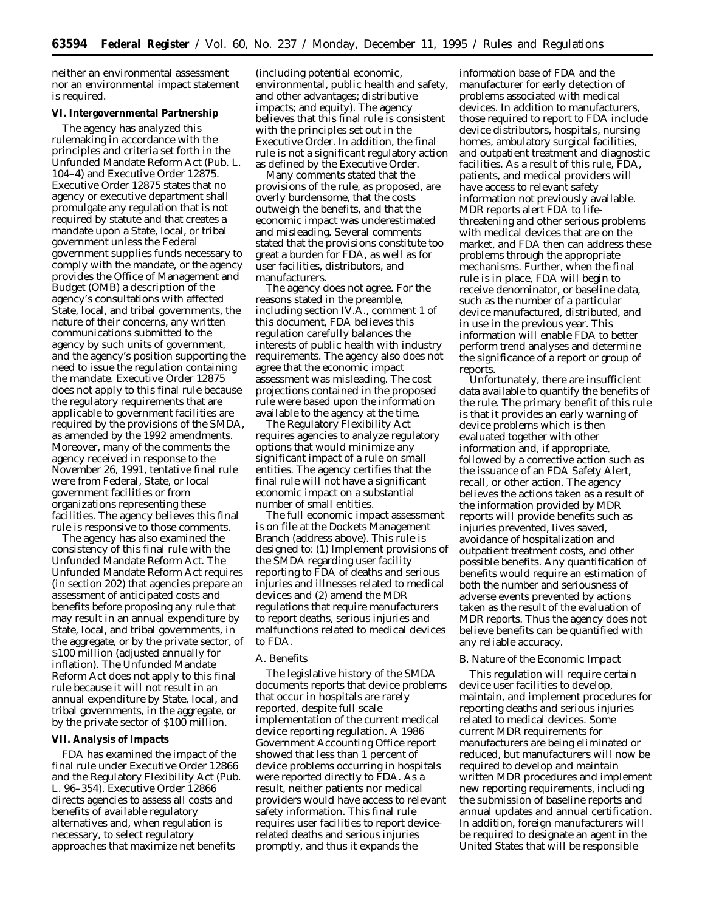neither an environmental assessment nor an environmental impact statement is required.

### **VI. Intergovernmental Partnership**

The agency has analyzed this rulemaking in accordance with the principles and criteria set forth in the Unfunded Mandate Reform Act (Pub. L. 104–4) and Executive Order 12875. Executive Order 12875 states that no agency or executive department shall promulgate any regulation that is not required by statute and that creates a mandate upon a State, local, or tribal government unless the Federal government supplies funds necessary to comply with the mandate, or the agency provides the Office of Management and Budget (OMB) a description of the agency's consultations with affected State, local, and tribal governments, the nature of their concerns, any written communications submitted to the agency by such units of government, and the agency's position supporting the need to issue the regulation containing the mandate. Executive Order 12875 does not apply to this final rule because the regulatory requirements that are applicable to government facilities are required by the provisions of the SMDA, as amended by the 1992 amendments. Moreover, many of the comments the agency received in response to the November 26, 1991, tentative final rule were from Federal, State, or local government facilities or from organizations representing these facilities. The agency believes this final rule is responsive to those comments.

The agency has also examined the consistency of this final rule with the Unfunded Mandate Reform Act. The Unfunded Mandate Reform Act requires (in section 202) that agencies prepare an assessment of anticipated costs and benefits before proposing any rule that may result in an annual expenditure by State, local, and tribal governments, in the aggregate, or by the private sector, of \$100 million (adjusted annually for inflation). The Unfunded Mandate Reform Act does not apply to this final rule because it will not result in an annual expenditure by State, local, and tribal governments, in the aggregate, or by the private sector of \$100 million.

### **VII. Analysis of Impacts**

FDA has examined the impact of the final rule under Executive Order 12866 and the Regulatory Flexibility Act (Pub. L. 96–354). Executive Order 12866 directs agencies to assess all costs and benefits of available regulatory alternatives and, when regulation is necessary, to select regulatory approaches that maximize net benefits

(including potential economic, environmental, public health and safety, and other advantages; distributive impacts; and equity). The agency believes that this final rule is consistent with the principles set out in the Executive Order. In addition, the final rule is not a significant regulatory action as defined by the Executive Order.

Many comments stated that the provisions of the rule, as proposed, are overly burdensome, that the costs outweigh the benefits, and that the economic impact was underestimated and misleading. Several comments stated that the provisions constitute too great a burden for FDA, as well as for user facilities, distributors, and manufacturers.

The agency does not agree. For the reasons stated in the preamble, including section IV.A., comment 1 of this document, FDA believes this regulation carefully balances the interests of public health with industry requirements. The agency also does not agree that the economic impact assessment was misleading. The cost projections contained in the proposed rule were based upon the information available to the agency at the time.

The Regulatory Flexibility Act requires agencies to analyze regulatory options that would minimize any significant impact of a rule on small entities. The agency certifies that the final rule will not have a significant economic impact on a substantial number of small entities.

The full economic impact assessment is on file at the Dockets Management Branch (address above). This rule is designed to: (1) Implement provisions of the SMDA regarding user facility reporting to FDA of deaths and serious injuries and illnesses related to medical devices and (2) amend the MDR regulations that require manufacturers to report deaths, serious injuries and malfunctions related to medical devices to FDA.

## *A. Benefits*

The legislative history of the SMDA documents reports that device problems that occur in hospitals are rarely reported, despite full scale implementation of the current medical device reporting regulation. A 1986 Government Accounting Office report showed that less than 1 percent of device problems occurring in hospitals were reported directly to FDA. As a result, neither patients nor medical providers would have access to relevant safety information. This final rule requires user facilities to report devicerelated deaths and serious injuries promptly, and thus it expands the

information base of FDA and the manufacturer for early detection of problems associated with medical devices. In addition to manufacturers, those required to report to FDA include device distributors, hospitals, nursing homes, ambulatory surgical facilities, and outpatient treatment and diagnostic facilities. As a result of this rule, FDA, patients, and medical providers will have access to relevant safety information not previously available. MDR reports alert FDA to lifethreatening and other serious problems with medical devices that are on the market, and FDA then can address these problems through the appropriate mechanisms. Further, when the final rule is in place, FDA will begin to receive denominator, or baseline data, such as the number of a particular device manufactured, distributed, and in use in the previous year. This information will enable FDA to better perform trend analyses and determine the significance of a report or group of reports.

Unfortunately, there are insufficient data available to quantify the benefits of the rule. The primary benefit of this rule is that it provides an early warning of device problems which is then evaluated together with other information and, if appropriate, followed by a corrective action such as the issuance of an FDA Safety Alert, recall, or other action. The agency believes the actions taken as a result of the information provided by MDR reports will provide benefits such as injuries prevented, lives saved, avoidance of hospitalization and outpatient treatment costs, and other possible benefits. Any quantification of benefits would require an estimation of both the number and seriousness of adverse events prevented by actions taken as the result of the evaluation of MDR reports. Thus the agency does not believe benefits can be quantified with any reliable accuracy.

### *B. Nature of the Economic Impact*

This regulation will require certain device user facilities to develop, maintain, and implement procedures for reporting deaths and serious injuries related to medical devices. Some current MDR requirements for manufacturers are being eliminated or reduced, but manufacturers will now be required to develop and maintain written MDR procedures and implement new reporting requirements, including the submission of baseline reports and annual updates and annual certification. In addition, foreign manufacturers will be required to designate an agent in the United States that will be responsible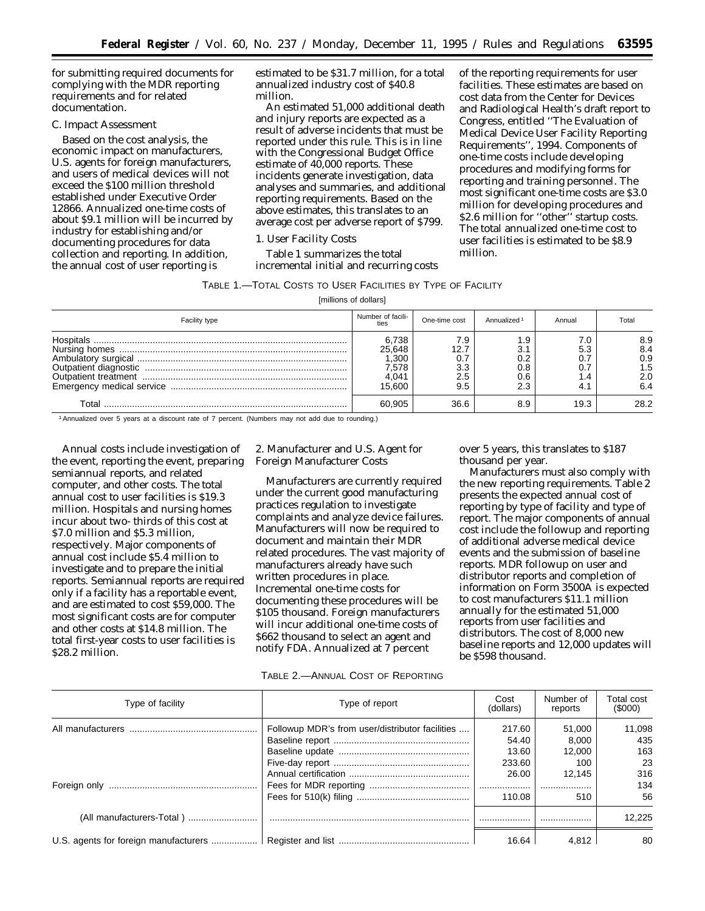for submitting required documents for complying with the MDR reporting requirements and for related documentation.

## *C. Impact Assessment*

Based on the cost analysis, the economic impact on manufacturers, U.S. agents for foreign manufacturers, and users of medical devices will not exceed the \$100 million threshold established under Executive Order 12866. Annualized one-time costs of about \$9.1 million will be incurred by industry for establishing and/or documenting procedures for data collection and reporting. In addition, the annual cost of user reporting is

estimated to be \$31.7 million, for a total annualized industry cost of \$40.8 million.

An estimated 51,000 additional death and injury reports are expected as a result of adverse incidents that must be reported under this rule. This is in line with the Congressional Budget Office estimate of 40,000 reports. These incidents generate investigation, data analyses and summaries, and additional reporting requirements. Based on the above estimates, this translates to an average cost per adverse report of \$799.

### 1. User Facility Costs

Table 1 summarizes the total incremental initial and recurring costs of the reporting requirements for user facilities. These estimates are based on cost data from the Center for Devices and Radiological Health's draft report to Congress, entitled ''The Evaluation of Medical Device User Facility Reporting Requirements'', 1994. Components of one-time costs include developing procedures and modifying forms for reporting and training personnel. The most significant one-time costs are \$3.0 million for developing procedures and \$2.6 million for ''other'' startup costs. The total annualized one-time cost to user facilities is estimated to be \$8.9 million.

## TABLE 1.—TOTAL COSTS TO USER FACILITIES BY TYPE OF FACILITY

[millions of dollars]

| Facility type         | Number of facili-                                      | One-time cost                    | Annualized <sup>1</sup>            | Annual         | Total                                  |
|-----------------------|--------------------------------------------------------|----------------------------------|------------------------------------|----------------|----------------------------------------|
| Outpatient diagnostic | 6.738<br>25.648<br>300. ا<br>7.578<br>4.041<br>15.600. | 12.7<br>0.7<br>3.3<br>2.5<br>9.5 | 1.9<br>$\cdot$<br>0.8<br>0.6<br>າາ | 5.3<br>.4<br>4 | 8.9<br>8.4<br>0.9<br>1.5<br>2.0<br>6.4 |
| Total                 | 60.905                                                 | 36.6                             | 8.9                                | 19.3           | 28.2                                   |

1Annualized over 5 years at a discount rate of 7 percent. (Numbers may not add due to rounding.)

Annual costs include investigation of the event, reporting the event, preparing semiannual reports, and related computer, and other costs. The total annual cost to user facilities is \$19.3 million. Hospitals and nursing homes incur about two- thirds of this cost at \$7.0 million and \$5.3 million, respectively. Major components of annual cost include \$5.4 million to investigate and to prepare the initial reports. Semiannual reports are required only if a facility has a reportable event, and are estimated to cost \$59,000. The most significant costs are for computer and other costs at \$14.8 million. The total first-year costs to user facilities is \$28.2 million.

2. Manufacturer and U.S. Agent for Foreign Manufacturer Costs

Manufacturers are currently required under the current good manufacturing practices regulation to investigate complaints and analyze device failures. Manufacturers will now be required to document and maintain their MDR related procedures. The vast majority of manufacturers already have such written procedures in place. Incremental one-time costs for documenting these procedures will be \$105 thousand. Foreign manufacturers will incur additional one-time costs of \$662 thousand to select an agent and notify FDA. Annualized at 7 percent

over 5 years, this translates to \$187 thousand per year.

Manufacturers must also comply with the new reporting requirements. Table 2 presents the expected annual cost of reporting by type of facility and type of report. The major components of annual cost include the followup and reporting of additional adverse medical device events and the submission of baseline reports. MDR followup on user and distributor reports and completion of information on Form 3500A is expected to cost manufacturers \$11.1 million annually for the estimated 51,000 reports from user facilities and distributors. The cost of 8,000 new baseline reports and 12,000 updates will be \$598 thousand.

| Type of facility | Type of report                                  | Cost<br>(dollars)         | Number of<br>reports      | Total cost<br>(0,00)   |
|------------------|-------------------------------------------------|---------------------------|---------------------------|------------------------|
|                  | Followup MDR's from user/distributor facilities | 217.60<br>54.40<br>13.60  | 51.000<br>8.000<br>12.000 | 11,098<br>435<br>163   |
|                  |                                                 | 233.60<br>26.00<br>110.08 | 100<br>12.145<br>510      | 23<br>316<br>134<br>56 |
|                  |                                                 |                           |                           | 12.225                 |
|                  |                                                 | 16.64                     | 4.812                     | 80                     |

# TABLE 2.—ANNUAL COST OF REPORTING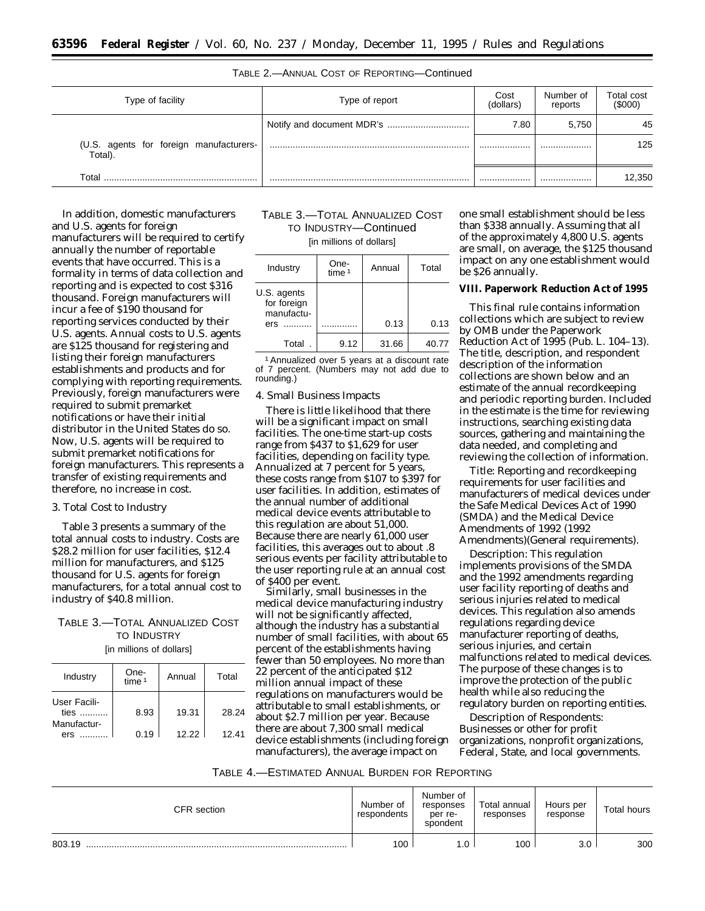| TABLE 2.—ANNUAL COST OF REPORTING—Continued |  |
|---------------------------------------------|--|
|---------------------------------------------|--|

| Type of facility                                   | Type of report | Cost<br>(dollars) | Number of<br>reports | Total cost<br>(0,00) |
|----------------------------------------------------|----------------|-------------------|----------------------|----------------------|
|                                                    |                | 7.80              | 5.750                | 45                   |
| (U.S. agents for foreign manufacturers-<br>Total). |                |                   |                      | 125                  |
| Total                                              |                |                   |                      | 12,350               |

In addition, domestic manufacturers and U.S. agents for foreign manufacturers will be required to certify annually the number of reportable events that have occurred. This is a formality in terms of data collection and reporting and is expected to cost \$316 thousand. Foreign manufacturers will incur a fee of \$190 thousand for reporting services conducted by their U.S. agents. Annual costs to U.S. agents are \$125 thousand for registering and listing their foreign manufacturers establishments and products and for complying with reporting requirements. Previously, foreign manufacturers were required to submit premarket notifications or have their initial distributor in the United States do so. Now, U.S. agents will be required to submit premarket notifications for foreign manufacturers. This represents a transfer of existing requirements and therefore, no increase in cost.

## 3. Total Cost to Industry

Table 3 presents a summary of the total annual costs to industry. Costs are \$28.2 million for user facilities, \$12.4 million for manufacturers, and \$125 thousand for U.S. agents for foreign manufacturers, for a total annual cost to industry of \$40.8 million.

# TABLE 3.—TOTAL ANNUALIZED COST TO INDUSTRY

|  | [in millions of dollars] |  |  |  |
|--|--------------------------|--|--|--|
|--|--------------------------|--|--|--|

| Industry                            | One-<br>time <sup>1</sup> | Annual | Total |
|-------------------------------------|---------------------------|--------|-------|
| User Facili-<br>ties<br>Manufactur- | 8.93                      | 19.31  | 28.24 |
| ers                                 | 0.19                      | 12.22  | 1241  |

# TABLE 3.—TOTAL ANNUALIZED COST TO INDUSTRY—Continued

[in millions of dollars]

| Industry                                        | One-<br>time $1$ | Annual | Total |
|-------------------------------------------------|------------------|--------|-------|
| U.S. agents<br>for foreign<br>manufactu-<br>ers |                  | 0.13   | 0.13  |
| Total                                           | 9.12             | 31.66  | 40.77 |

1Annualized over 5 years at a discount rate of 7 percent. (Numbers may not add due to rounding.)

## 4. Small Business Impacts

There is little likelihood that there will be a significant impact on small facilities. The one-time start-up costs range from \$437 to \$1,629 for user facilities, depending on facility type. Annualized at 7 percent for 5 years, these costs range from \$107 to \$397 for user facilities. In addition, estimates of the annual number of additional medical device events attributable to this regulation are about 51,000. Because there are nearly 61,000 user facilities, this averages out to about .8 serious events per facility attributable to the user reporting rule at an annual cost of \$400 per event.

Similarly, small businesses in the medical device manufacturing industry will not be significantly affected, although the industry has a substantial number of small facilities, with about 65 percent of the establishments having fewer than 50 employees. No more than 22 percent of the anticipated \$12 million annual impact of these regulations on manufacturers would be attributable to small establishments, or about \$2.7 million per year. Because there are about 7,300 small medical device establishments (including foreign manufacturers), the average impact on

one small establishment should be less than \$338 annually. Assuming that all of the approximately 4,800 U.S. agents are small, on average, the \$125 thousand impact on any one establishment would be \$26 annually.

### **VIII. Paperwork Reduction Act of 1995**

This final rule contains information collections which are subject to review by OMB under the Paperwork Reduction Act of 1995 (Pub. L. 104–13). The title, description, and respondent description of the information collections are shown below and an estimate of the annual recordkeeping and periodic reporting burden. Included in the estimate is the time for reviewing instructions, searching existing data sources, gathering and maintaining the data needed, and completing and reviewing the collection of information.

*Title:* Reporting and recordkeeping requirements for user facilities and manufacturers of medical devices under the Safe Medical Devices Act of 1990 (SMDA) and the Medical Device Amendments of 1992 (1992 Amendments)(General requirements).

*Description:* This regulation implements provisions of the SMDA and the 1992 amendments regarding user facility reporting of deaths and serious injuries related to medical devices. This regulation also amends regulations regarding device manufacturer reporting of deaths, serious injuries, and certain malfunctions related to medical devices. The purpose of these changes is to improve the protection of the public health while also reducing the regulatory burden on reporting entities.

*Description of Respondents:* Businesses or other for profit organizations, nonprofit organizations, Federal, State, and local governments.

## TABLE 4.—ESTIMATED ANNUAL BURDEN FOR REPORTING

| CFR section | Number of<br>respondents | Number of<br>responses<br>per re-<br>spondent | Total annual<br>responses | Hours per<br>response | Total hours |
|-------------|--------------------------|-----------------------------------------------|---------------------------|-----------------------|-------------|
| 803.19      | 100                      | 1.0                                           | 100                       | 3.0                   | 300         |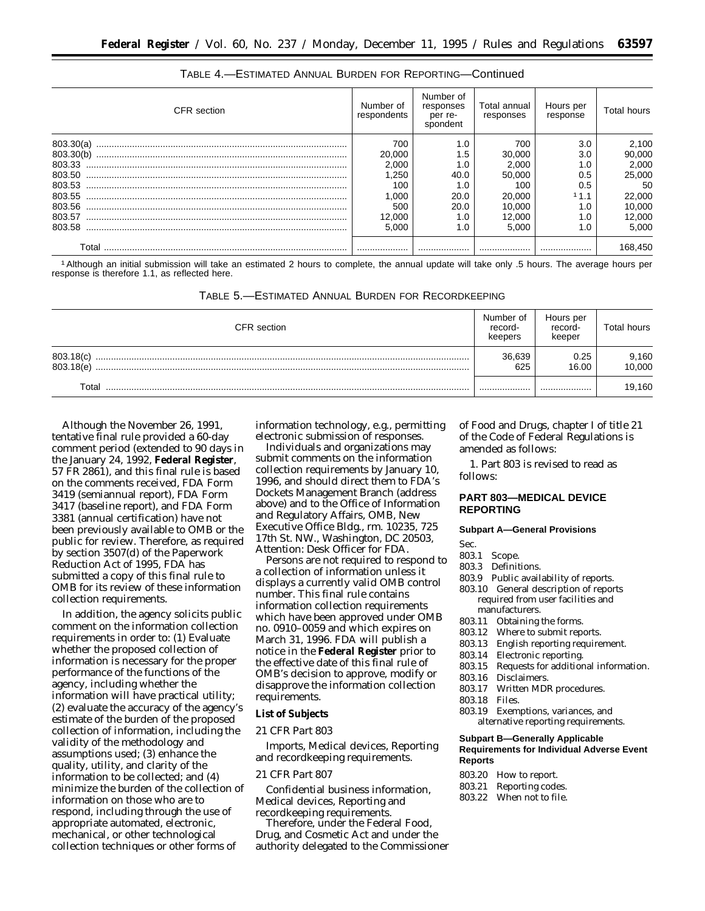| CFR section | Number of<br>respondents | Number of<br>responses<br>per re-<br>spondent | Total annual<br>responses | Hours per<br>response | Total hours |
|-------------|--------------------------|-----------------------------------------------|---------------------------|-----------------------|-------------|
| 803.30(a)   | 700                      |                                               | 700                       | 3.0                   | 2,100       |
| 803.30(b)   | 20,000                   | 1.5                                           | 30,000                    | 3.0                   | 90,000      |
| 803.33      | 2,000                    |                                               | 2.000                     | 1.0                   | 2,000       |
| 803.50      | 1.250                    | 40.0                                          | 50,000                    | 0.5                   | 25,000      |
| 803.53      | 100                      |                                               | 100                       | 0.5                   | 50          |
| 803.55      | 1.000                    | 20.0                                          | 20,000                    | 11.1                  | 22,000      |
| 803.56      | 500                      | 20.0                                          | 10.000                    | 1.0                   | 10,000      |
| 803.57      | 12,000                   |                                               | 12,000                    | 1.0                   | 12,000      |
| 803.58      | 5.000                    | 1.0                                           | 5.000                     | 1.0                   | 5.000       |
| Total       |                          |                                               |                           |                       | 168,450     |

# TABLE 4.—ESTIMATED ANNUAL BURDEN FOR REPORTING—Continued

1Although an initial submission will take an estimated 2 hours to complete, the annual update will take only .5 hours. The average hours per response is therefore 1.1, as reflected here.

TABLE 5.—ESTIMATED ANNUAL BURDEN FOR RECORDKEEPING

| <b>CFR</b> section     | Number of<br>record-<br>keepers | Hours per<br>record-<br>keeper | Total hours     |
|------------------------|---------------------------------|--------------------------------|-----------------|
| 803.18(c)<br>803.18(e) | 36,639<br>625                   | 0.25<br>16.00                  | 9,160<br>10,000 |
| Total                  |                                 |                                | 19,160          |

Although the November 26, 1991, tentative final rule provided a 60-day comment period (extended to 90 days in the January 24, 1992, **Federal Register**, 57 FR 2861), and this final rule is based on the comments received, FDA Form 3419 (semiannual report), FDA Form 3417 (baseline report), and FDA Form 3381 (annual certification) have not been previously available to OMB or the public for review. Therefore, as required by section 3507(d) of the Paperwork Reduction Act of 1995, FDA has submitted a copy of this final rule to OMB for its review of these information collection requirements.

In addition, the agency solicits public comment on the information collection requirements in order to: (1) Evaluate whether the proposed collection of information is necessary for the proper performance of the functions of the agency, including whether the information will have practical utility; (2) evaluate the accuracy of the agency's estimate of the burden of the proposed collection of information, including the validity of the methodology and assumptions used; (3) enhance the quality, utility, and clarity of the information to be collected; and (4) minimize the burden of the collection of information on those who are to respond, including through the use of appropriate automated, electronic, mechanical, or other technological collection techniques or other forms of

information technology, e.g., permitting electronic submission of responses.

Individuals and organizations may submit comments on the information collection requirements by January 10, 1996, and should direct them to FDA's Dockets Management Branch (address above) and to the Office of Information and Regulatory Affairs, OMB, New Executive Office Bldg., rm. 10235, 725 17th St. NW., Washington, DC 20503, Attention: Desk Officer for FDA.

Persons are not required to respond to a collection of information unless it displays a currently valid OMB control number. This final rule contains information collection requirements which have been approved under OMB no. 0910–0059 and which expires on March 31, 1996. FDA will publish a notice in the **Federal Register** prior to the effective date of this final rule of OMB's decision to approve, modify or disapprove the information collection requirements.

### **List of Subjects**

#### *21 CFR Part 803*

Imports, Medical devices, Reporting and recordkeeping requirements.

#### *21 CFR Part 807*

Confidential business information, Medical devices, Reporting and recordkeeping requirements.

Therefore, under the Federal Food, Drug, and Cosmetic Act and under the authority delegated to the Commissioner of Food and Drugs, chapter I of title 21 of the Code of Federal Regulations is amended as follows:

1. Part 803 is revised to read as follows:

## **PART 803—MEDICAL DEVICE REPORTING**

## **Subpart A—General Provisions**

#### Sec.

- 803.1 Scope.
- 803.3 Definitions.
- 803.9 Public availability of reports.
- 803.10 General description of reports required from user facilities and manufacturers.
	-
- 803.11 Obtaining the forms.<br>803.12 Where to submit repo Where to submit reports.
- 803.13 English reporting requirement.
- 803.14 Electronic reporting.
- 803.15 Requests for additional information.
- 
- 803.16 Disclaimers.<br>803.17 Written MD Written MDR procedures.
- 803.18 Files.
- 803.19 Exemptions, variances, and
- alternative reporting requirements.

# **Subpart B—Generally Applicable Requirements for Individual Adverse Event Reports**

- 803.20 How to report.
- 803.21 Reporting codes.
- 803.22 When not to file.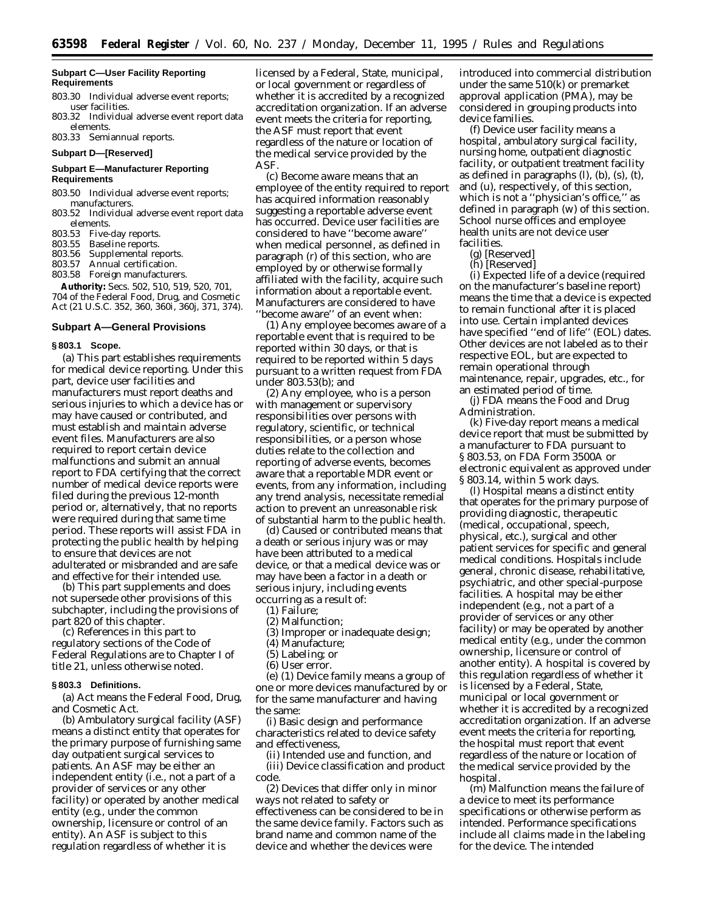#### **Subpart C—User Facility Reporting Requirements**

- 803.30 Individual adverse event reports; user facilities.
- 803.32 Individual adverse event report data elements.
- 803.33 Semiannual reports.

#### **Subpart D—[Reserved]**

## **Subpart E—Manufacturer Reporting Requirements**

- 803.50 Individual adverse event reports; manufacturers.
- 803.52 Individual adverse event report data elements.
- 803.53 Five-day reports.
- 803.55 Baseline reports.
- 803.56 Supplemental reports.<br>803.57 Annual certification.
- Annual certification.
- 803.58 Foreign manufacturers.

**Authority:** Secs. 502, 510, 519, 520, 701, 704 of the Federal Food, Drug, and Cosmetic Act (21 U.S.C. 352, 360, 360i, 360j, 371, 374).

### **Subpart A—General Provisions**

### **§ 803.1 Scope.**

(a) This part establishes requirements for medical device reporting. Under this part, device user facilities and manufacturers must report deaths and serious injuries to which a device has or may have caused or contributed, and must establish and maintain adverse event files. Manufacturers are also required to report certain device malfunctions and submit an annual report to FDA certifying that the correct number of medical device reports were filed during the previous 12-month period or, alternatively, that no reports were required during that same time period. These reports will assist FDA in protecting the public health by helping to ensure that devices are not adulterated or misbranded and are safe and effective for their intended use.

(b) This part supplements and does not supersede other provisions of this subchapter, including the provisions of part 820 of this chapter.

(c) References in this part to regulatory sections of the Code of Federal Regulations are to Chapter I of title 21, unless otherwise noted.

#### **§ 803.3 Definitions.**

(a) *Act* means the Federal Food, Drug, and Cosmetic Act.

(b) *Ambulatory surgical facility (ASF)* means a distinct entity that operates for the primary purpose of furnishing same day outpatient surgical services to patients. An ASF may be either an independent entity (i.e., not a part of a provider of services or any other facility) or operated by another medical entity (e.g., under the common ownership, licensure or control of an entity). An ASF is subject to this regulation regardless of whether it is

licensed by a Federal, State, municipal, or local government or regardless of whether it is accredited by a recognized accreditation organization. If an adverse event meets the criteria for reporting, the ASF must report that event regardless of the nature or location of the medical service provided by the ASF.

(c) *Become aware* means that an employee of the entity required to report has acquired information reasonably suggesting a reportable adverse event has occurred. Device user facilities are considered to have ''become aware'' when medical personnel, as defined in paragraph (r) of this section, who are employed by or otherwise formally affiliated with the facility, acquire such information about a reportable event. Manufacturers are considered to have ''become aware'' of an event when:

(1) Any employee becomes aware of a reportable event that is required to be reported within 30 days, or that is required to be reported within 5 days pursuant to a written request from FDA under 803.53(b); and

(2) Any employee, who is a person with management or supervisory responsibilities over persons with regulatory, scientific, or technical responsibilities, or a person whose duties relate to the collection and reporting of adverse events, becomes aware that a reportable MDR event or events, from any information, including any trend analysis, necessitate remedial action to prevent an unreasonable risk of substantial harm to the public health.

(d) *Caused or contributed* means that a death or serious injury was or may have been attributed to a medical device, or that a medical device was or may have been a factor in a death or serious injury, including events occurring as a result of:

- (1) Failure;
- (2) Malfunction;
- (3) Improper or inadequate design;
- (4) Manufacture;
- (5) Labeling; or
- (6) User error.

(e) (1) *Device family* means a group of one or more devices manufactured by or for the same manufacturer and having the same:

(i) Basic design and performance characteristics related to device safety and effectiveness,

(ii) Intended use and function, and (iii) Device classification and product code.

(2) Devices that differ only in minor ways not related to safety or effectiveness can be considered to be in the same device family. Factors such as brand name and common name of the device and whether the devices were

introduced into commercial distribution under the same 510(k) or premarket approval application (PMA), may be considered in grouping products into device families.

(f) *Device user facility* means a hospital, ambulatory surgical facility, nursing home, outpatient diagnostic facility, or outpatient treatment facility as defined in paragraphs (l), (b), (s), (t), and (u), respectively, of this section, which is not a "physician's office," as defined in paragraph (w) of this section. School nurse offices and employee health units are not device user facilities.

- (g) [Reserved]
- (h) [Reserved]

(i) *Expected life* of a device (required on the manufacturer's baseline report) means the time that a device is expected to remain functional after it is placed into use. Certain implanted devices have specified "end of life" (EOL) dates. Other devices are not labeled as to their respective EOL, but are expected to remain operational through maintenance, repair, upgrades, etc., for an estimated period of time.

(j) *FDA* means the Food and Drug Administration.

(k) *Five-day report* means a medical device report that must be submitted by a manufacturer to FDA pursuant to § 803.53, on FDA Form 3500A or electronic equivalent as approved under § 803.14, within 5 work days.

(l) *Hospital* means a distinct entity that operates for the primary purpose of providing diagnostic, therapeutic (medical, occupational, speech, physical, etc.), surgical and other patient services for specific and general medical conditions. Hospitals include general, chronic disease, rehabilitative, psychiatric, and other special-purpose facilities. A hospital may be either independent (e.g., not a part of a provider of services or any other facility) or may be operated by another medical entity (e.g., under the common ownership, licensure or control of another entity). A hospital is covered by this regulation regardless of whether it is licensed by a Federal, State, municipal or local government or whether it is accredited by a recognized accreditation organization. If an adverse event meets the criteria for reporting, the hospital must report that event regardless of the nature or location of the medical service provided by the hospital.

(m) *Malfunction* means the failure of a device to meet its performance specifications or otherwise perform as intended. Performance specifications include all claims made in the labeling for the device. The intended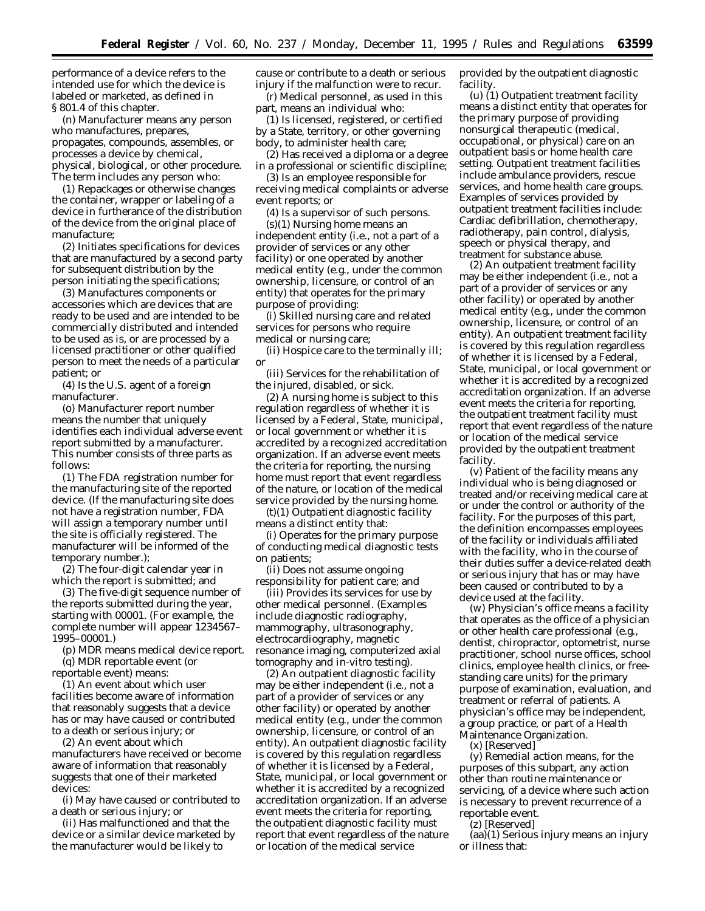performance of a device refers to the intended use for which the device is labeled or marketed, as defined in § 801.4 of this chapter.

(n) *Manufacturer* means any person who manufactures, prepares, propagates, compounds, assembles, or processes a device by chemical, physical, biological, or other procedure. The term includes any person who:

(1) Repackages or otherwise changes the container, wrapper or labeling of a device in furtherance of the distribution of the device from the original place of manufacture;

(2) Initiates specifications for devices that are manufactured by a second party for subsequent distribution by the person initiating the specifications;

(3) Manufactures components or accessories which are devices that are ready to be used and are intended to be commercially distributed and intended to be used as is, or are processed by a licensed practitioner or other qualified person to meet the needs of a particular patient; or

(4) Is the U.S. agent of a foreign manufacturer.

(o) *Manufacturer report number* means the number that uniquely identifies each individual adverse event report submitted by a manufacturer. This number consists of three parts as follows:

(1) The FDA registration number for the manufacturing site of the reported device. (If the manufacturing site does not have a registration number, FDA will assign a temporary number until the site is officially registered. The manufacturer will be informed of the temporary number.);

(2) The four-digit calendar year in which the report is submitted; and

(3) The five-digit sequence number of the reports submitted during the year, starting with 00001. (For example, the complete number will appear 1234567– 1995–00001.)

(p) *MDR* means medical device report. (q) *MDR reportable event* (or

*reportable event*) means:

(1) An event about which user facilities become aware of information that reasonably suggests that a device has or may have caused or contributed to a death or serious injury; or

(2) An event about which manufacturers have received or become aware of information that reasonably suggests that one of their marketed devices:

(i) May have caused or contributed to a death or serious injury; or

(ii) Has malfunctioned and that the device or a similar device marketed by the manufacturer would be likely to

cause or contribute to a death or serious injury if the malfunction were to recur.

(r) *Medical personnel*, as used in this part, means an individual who:

(1) Is licensed, registered, or certified by a State, territory, or other governing body, to administer health care;

(2) Has received a diploma or a degree in a professional or scientific discipline;

(3) Is an employee responsible for receiving medical complaints or adverse event reports; or

(4) Is a supervisor of such persons.

(s)(1) *Nursing home* means an independent entity (i.e., not a part of a provider of services or any other facility) or one operated by another medical entity (e.g., under the common ownership, licensure, or control of an entity) that operates for the primary purpose of providing:

(i) Skilled nursing care and related services for persons who require medical or nursing care;

(ii) Hospice care to the terminally ill; or

(iii) Services for the rehabilitation of the injured, disabled, or sick.

(2) A nursing home is subject to this regulation regardless of whether it is licensed by a Federal, State, municipal, or local government or whether it is accredited by a recognized accreditation organization. If an adverse event meets the criteria for reporting, the nursing home must report that event regardless of the nature, or location of the medical service provided by the nursing home.

(t)(1) *Outpatient diagnostic facility* means a distinct entity that:

(i) Operates for the primary purpose of conducting medical diagnostic tests on patients;

(ii) Does not assume ongoing responsibility for patient care; and

(iii) Provides its services for use by other medical personnel. (Examples include diagnostic radiography, mammography, ultrasonography, electrocardiography, magnetic resonance imaging, computerized axial tomography and in-vitro testing).

(2) An outpatient diagnostic facility may be either independent (i.e., not a part of a provider of services or any other facility) or operated by another medical entity (e.g., under the common ownership, licensure, or control of an entity). An outpatient diagnostic facility is covered by this regulation regardless of whether it is licensed by a Federal, State, municipal, or local government or whether it is accredited by a recognized accreditation organization. If an adverse event meets the criteria for reporting, the outpatient diagnostic facility must report that event regardless of the nature or location of the medical service

provided by the outpatient diagnostic facility.

(u) (1) *Outpatient treatment facility* means a distinct entity that operates for the primary purpose of providing nonsurgical therapeutic (medical, occupational, or physical) care on an outpatient basis or home health care setting. Outpatient treatment facilities include ambulance providers, rescue services, and home health care groups. Examples of services provided by outpatient treatment facilities include: Cardiac defibrillation, chemotherapy, radiotherapy, pain control, dialysis, speech or physical therapy, and treatment for substance abuse.

(2) An outpatient treatment facility may be either independent (i.e., not a part of a provider of services or any other facility) or operated by another medical entity (e.g., under the common ownership, licensure, or control of an entity). An outpatient treatment facility is covered by this regulation regardless of whether it is licensed by a Federal, State, municipal, or local government or whether it is accredited by a recognized accreditation organization. If an adverse event meets the criteria for reporting, the outpatient treatment facility must report that event regardless of the nature or location of the medical service provided by the outpatient treatment facility.

(v) *Patient of the facility* means any individual who is being diagnosed or treated and/or receiving medical care at or under the control or authority of the facility. For the purposes of this part, the definition encompasses employees of the facility or individuals affiliated with the facility, who in the course of their duties suffer a device-related death or serious injury that has or may have been caused or contributed to by a device used at the facility.

(w) *Physician's office* means a facility that operates as the office of a physician or other health care professional (e.g., dentist, chiropractor, optometrist, nurse practitioner, school nurse offices, school clinics, employee health clinics, or freestanding care units) for the primary purpose of examination, evaluation, and treatment or referral of patients. A physician's office may be independent, a group practice, or part of a Health Maintenance Organization.

(x) [Reserved]

(y) *Remedial action* means, for the purposes of this subpart, any action other than routine maintenance or servicing, of a device where such action is necessary to prevent recurrence of a reportable event.

(z) [Reserved]

(aa)(1) *Serious injury* means an injury or illness that: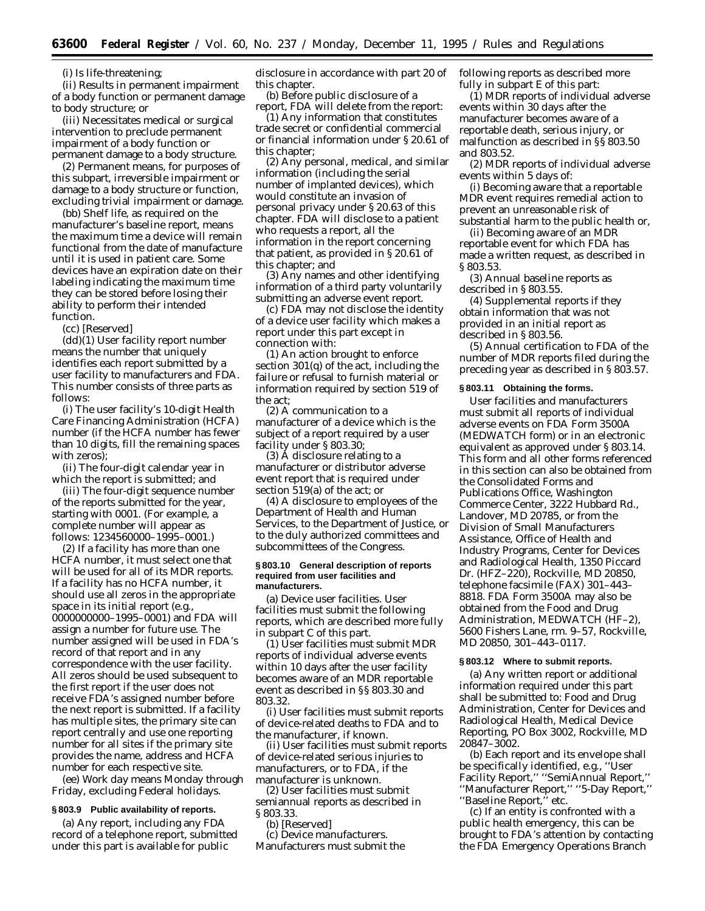(i) Is life-threatening;

(ii) Results in permanent impairment of a body function or permanent damage to body structure; or

(iii) Necessitates medical or surgical intervention to preclude permanent impairment of a body function or permanent damage to a body structure.

(2) *Permanent* means, for purposes of this subpart, irreversible impairment or damage to a body structure or function, excluding trivial impairment or damage.

(bb) *Shelf life*, as required on the manufacturer's baseline report, means the maximum time a device will remain functional from the date of manufacture until it is used in patient care. Some devices have an expiration date on their labeling indicating the maximum time they can be stored before losing their ability to perform their intended function.

(cc) [Reserved]

(dd)(1) *User facility report number* means the number that uniquely identifies each report submitted by a user facility to manufacturers and FDA. This number consists of three parts as follows:

(i) The user facility's 10-digit Health Care Financing Administration (HCFA) number (if the HCFA number has fewer than 10 digits, fill the remaining spaces with zeros);

(ii) The four-digit calendar year in which the report is submitted; and

(iii) The four-digit sequence number of the reports submitted for the year, starting with 0001. (For example, a complete number will appear as follows: 1234560000–1995–0001.)

(2) If a facility has more than one HCFA number, it must select one that will be used for all of its MDR reports. If a facility has no HCFA number, it should use all zeros in the appropriate space in its initial report (e.g., 0000000000–1995–0001) and FDA will assign a number for future use. The number assigned will be used in FDA's record of that report and in any correspondence with the user facility. All zeros should be used subsequent to the first report if the user does not receive FDA's assigned number before the next report is submitted. If a facility has multiple sites, the primary site can report centrally and use one reporting number for all sites if the primary site provides the name, address and HCFA number for each respective site.

(ee) *Work day* means Monday through Friday, excluding Federal holidays.

### **§ 803.9 Public availability of reports.**

(a) Any report, including any FDA record of a telephone report, submitted under this part is available for public

disclosure in accordance with part 20 of this chapter.

(b) Before public disclosure of a report, FDA will delete from the report:

(1) Any information that constitutes trade secret or confidential commercial or financial information under § 20.61 of this chapter;

(2) Any personal, medical, and similar information (including the serial number of implanted devices), which would constitute an invasion of personal privacy under § 20.63 of this chapter. FDA will disclose to a patient who requests a report, all the information in the report concerning that patient, as provided in § 20.61 of this chapter; and

(3) Any names and other identifying information of a third party voluntarily submitting an adverse event report.

(c) FDA may not disclose the identity of a device user facility which makes a report under this part except in connection with:

(1) An action brought to enforce section 301(q) of the act, including the failure or refusal to furnish material or information required by section 519 of the act;

(2) A communication to a manufacturer of a device which is the subject of a report required by a user facility under § 803.30;

(3) A disclosure relating to a manufacturer or distributor adverse event report that is required under section 519(a) of the act; or

(4) A disclosure to employees of the Department of Health and Human Services, to the Department of Justice, or to the duly authorized committees and subcommittees of the Congress.

#### **§ 803.10 General description of reports required from user facilities and manufacturers.**

(a) *Device user facilities.* User facilities must submit the following reports, which are described more fully in subpart C of this part.

(1) User facilities must submit MDR reports of individual adverse events within 10 days after the user facility becomes aware of an MDR reportable event as described in §§ 803.30 and 803.32.

(i) User facilities must submit reports of device-related deaths to FDA and to the manufacturer, if known.

(ii) User facilities must submit reports of device-related serious injuries to manufacturers, or to FDA, if the manufacturer is unknown.

(2) User facilities must submit semiannual reports as described in § 803.33.

(b) [Reserved]

(c) *Device manufacturers.* Manufacturers must submit the following reports as described more fully in subpart E of this part:

(1) MDR reports of individual adverse events within 30 days after the manufacturer becomes aware of a reportable death, serious injury, or malfunction as described in §§ 803.50 and 803.52.

(2) MDR reports of individual adverse events within 5 days of:

(i) Becoming aware that a reportable MDR event requires remedial action to prevent an unreasonable risk of substantial harm to the public health or,

(ii) Becoming aware of an MDR reportable event for which FDA has made a written request, as described in § 803.53.

(3) Annual baseline reports as described in § 803.55.

(4) Supplemental reports if they obtain information that was not provided in an initial report as described in § 803.56.

(5) Annual certification to FDA of the number of MDR reports filed during the preceding year as described in § 803.57.

### **§ 803.11 Obtaining the forms.**

User facilities and manufacturers must submit all reports of individual adverse events on FDA Form 3500A (MEDWATCH form) or in an electronic equivalent as approved under § 803.14. This form and all other forms referenced in this section can also be obtained from the Consolidated Forms and Publications Office, Washington Commerce Center, 3222 Hubbard Rd., Landover, MD 20785, or from the Division of Small Manufacturers Assistance, Office of Health and Industry Programs, Center for Devices and Radiological Health, 1350 Piccard Dr. (HFZ–220), Rockville, MD 20850, telephone facsimile (FAX) 301–443– 8818. FDA Form 3500A may also be obtained from the Food and Drug Administration, MEDWATCH (HF–2), 5600 Fishers Lane, rm. 9–57, Rockville, MD 20850, 301–443–0117.

### **§ 803.12 Where to submit reports.**

(a) Any written report or additional information required under this part shall be submitted to: Food and Drug Administration, Center for Devices and Radiological Health, Medical Device Reporting, PO Box 3002, Rockville, MD 20847–3002.

(b) Each report and its envelope shall be specifically identified, e.g., ''User Facility Report,'' ''SemiAnnual Report,'' ''Manufacturer Report,'' ''5-Day Report,'' ''Baseline Report,'' etc.

(c) If an entity is confronted with a public health emergency, this can be brought to FDA's attention by contacting the FDA Emergency Operations Branch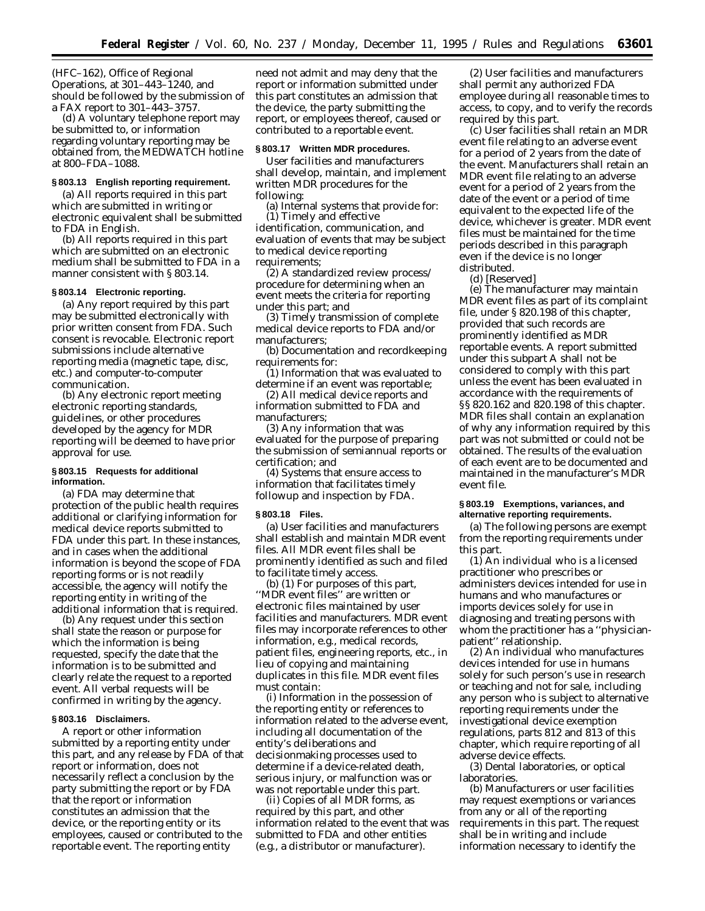(HFC–162), Office of Regional Operations, at 301–443–1240, and should be followed by the submission of a FAX report to 301–443–3757.

(d) A voluntary telephone report may be submitted to, or information regarding voluntary reporting may be obtained from, the MEDWATCH hotline at 800–FDA–1088.

## **§ 803.13 English reporting requirement.**

(a) All reports required in this part which are submitted in writing or electronic equivalent shall be submitted to FDA in English.

(b) All reports required in this part which are submitted on an electronic medium shall be submitted to FDA in a manner consistent with § 803.14.

#### **§ 803.14 Electronic reporting.**

(a) Any report required by this part may be submitted electronically with prior written consent from FDA. Such consent is revocable. Electronic report submissions include alternative reporting media (magnetic tape, disc, etc.) and computer-to-computer communication.

(b) Any electronic report meeting electronic reporting standards, guidelines, or other procedures developed by the agency for MDR reporting will be deemed to have prior approval for use.

## **§ 803.15 Requests for additional information.**

(a) FDA may determine that protection of the public health requires additional or clarifying information for medical device reports submitted to FDA under this part. In these instances, and in cases when the additional information is beyond the scope of FDA reporting forms or is not readily accessible, the agency will notify the reporting entity in writing of the additional information that is required.

(b) Any request under this section shall state the reason or purpose for which the information is being requested, specify the date that the information is to be submitted and clearly relate the request to a reported event. All verbal requests will be confirmed in writing by the agency.

## **§ 803.16 Disclaimers.**

A report or other information submitted by a reporting entity under this part, and any release by FDA of that report or information, does not necessarily reflect a conclusion by the party submitting the report or by FDA that the report or information constitutes an admission that the device, or the reporting entity or its employees, caused or contributed to the reportable event. The reporting entity

need not admit and may deny that the report or information submitted under this part constitutes an admission that the device, the party submitting the report, or employees thereof, caused or contributed to a reportable event.

## **§ 803.17 Written MDR procedures.**

User facilities and manufacturers shall develop, maintain, and implement written MDR procedures for the following:

(a) Internal systems that provide for: (1) Timely and effective identification, communication, and evaluation of events that may be subject to medical device reporting requirements;

(2) A standardized review process/ procedure for determining when an event meets the criteria for reporting under this part; and

(3) Timely transmission of complete medical device reports to FDA and/or manufacturers;

(b) Documentation and recordkeeping requirements for:

(1) Information that was evaluated to determine if an event was reportable;

(2) All medical device reports and information submitted to FDA and manufacturers;

(3) Any information that was evaluated for the purpose of preparing the submission of semiannual reports or certification; and

(4) Systems that ensure access to information that facilitates timely followup and inspection by FDA.

#### **§ 803.18 Files.**

(a) User facilities and manufacturers shall establish and maintain MDR event files. All MDR event files shall be prominently identified as such and filed to facilitate timely access.

(b) (1) For purposes of this part, ''MDR event files'' are written or electronic files maintained by user facilities and manufacturers. MDR event files may incorporate references to other information, e.g., medical records, patient files, engineering reports, etc., in lieu of copying and maintaining duplicates in this file. MDR event files must contain:

(i) Information in the possession of the reporting entity or references to information related to the adverse event, including all documentation of the entity's deliberations and decisionmaking processes used to determine if a device-related death, serious injury, or malfunction was or was not reportable under this part.

(ii) Copies of all MDR forms, as required by this part, and other information related to the event that was submitted to FDA and other entities (e.g., a distributor or manufacturer).

(2) User facilities and manufacturers shall permit any authorized FDA employee during all reasonable times to access, to copy, and to verify the records required by this part.

(c) User facilities shall retain an MDR event file relating to an adverse event for a period of 2 years from the date of the event. Manufacturers shall retain an MDR event file relating to an adverse event for a period of 2 years from the date of the event or a period of time equivalent to the expected life of the device, whichever is greater. MDR event files must be maintained for the time periods described in this paragraph even if the device is no longer distributed.

(d) [Reserved]

(e) The manufacturer may maintain MDR event files as part of its complaint file, under § 820.198 of this chapter, provided that such records are prominently identified as MDR reportable events. A report submitted under this subpart A shall not be considered to comply with this part unless the event has been evaluated in accordance with the requirements of §§ 820.162 and 820.198 of this chapter. MDR files shall contain an explanation of why any information required by this part was not submitted or could not be obtained. The results of the evaluation of each event are to be documented and maintained in the manufacturer's MDR event file.

### **§ 803.19 Exemptions, variances, and alternative reporting requirements.**

(a) The following persons are exempt from the reporting requirements under this part.

(1) An individual who is a licensed practitioner who prescribes or administers devices intended for use in humans and who manufactures or imports devices solely for use in diagnosing and treating persons with whom the practitioner has a ''physicianpatient'' relationship.

(2) An individual who manufactures devices intended for use in humans solely for such person's use in research or teaching and not for sale, including any person who is subject to alternative reporting requirements under the investigational device exemption regulations, parts 812 and 813 of this chapter, which require reporting of all adverse device effects.

(3) Dental laboratories, or optical laboratories.

(b) Manufacturers or user facilities may request exemptions or variances from any or all of the reporting requirements in this part. The request shall be in writing and include information necessary to identify the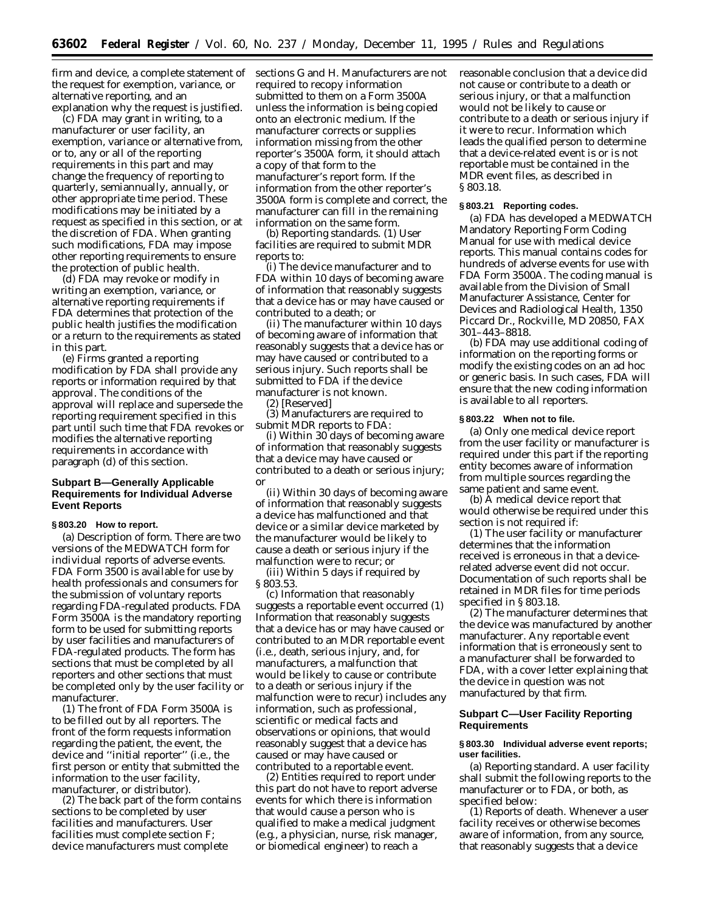firm and device, a complete statement of sections G and H. Manufacturers are not the request for exemption, variance, or alternative reporting, and an explanation why the request is justified.

(c) FDA may grant in writing, to a manufacturer or user facility, an exemption, variance or alternative from, or to, any or all of the reporting requirements in this part and may change the frequency of reporting to quarterly, semiannually, annually, or other appropriate time period. These modifications may be initiated by a request as specified in this section, or at the discretion of FDA. When granting such modifications, FDA may impose other reporting requirements to ensure the protection of public health.

(d) FDA may revoke or modify in writing an exemption, variance, or alternative reporting requirements if FDA determines that protection of the public health justifies the modification or a return to the requirements as stated in this part.

(e) Firms granted a reporting modification by FDA shall provide any reports or information required by that approval. The conditions of the approval will replace and supersede the reporting requirement specified in this part until such time that FDA revokes or modifies the alternative reporting requirements in accordance with paragraph (d) of this section.

## **Subpart B—Generally Applicable Requirements for Individual Adverse Event Reports**

### **§ 803.20 How to report.**

(a) *Description of form*. There are two versions of the MEDWATCH form for individual reports of adverse events. FDA Form 3500 is available for use by health professionals and consumers for the submission of voluntary reports regarding FDA-regulated products. FDA Form 3500A is the mandatory reporting form to be used for submitting reports by user facilities and manufacturers of FDA-regulated products. The form has sections that must be completed by all reporters and other sections that must be completed only by the user facility or manufacturer.

(1) The front of FDA Form 3500A is to be filled out by all reporters. The front of the form requests information regarding the patient, the event, the device and ''initial reporter'' (i.e., the first person or entity that submitted the information to the user facility, manufacturer, or distributor).

(2) The back part of the form contains sections to be completed by user facilities and manufacturers. User facilities must complete section F; device manufacturers must complete

required to recopy information submitted to them on a Form 3500A unless the information is being copied onto an electronic medium. If the manufacturer corrects or supplies information missing from the other reporter's 3500A form, it should attach a copy of that form to the manufacturer's report form. If the information from the other reporter's 3500A form is complete and correct, the manufacturer can fill in the remaining information on the same form.

(b) *Reporting standards*. (1) User facilities are required to submit MDR reports to:

(i) The device manufacturer and to FDA within 10 days of becoming aware of information that reasonably suggests that a device has or may have caused or contributed to a death; or

(ii) The manufacturer within 10 days of becoming aware of information that reasonably suggests that a device has or may have caused or contributed to a serious injury. Such reports shall be submitted to FDA if the device manufacturer is not known.

(2) [Reserved]

(3) Manufacturers are required to submit MDR reports to FDA:

(i) Within 30 days of becoming aware of information that reasonably suggests that a device may have caused or contributed to a death or serious injury; or

(ii) Within 30 days of becoming aware of information that reasonably suggests a device has malfunctioned and that device or a similar device marketed by the manufacturer would be likely to cause a death or serious injury if the malfunction were to recur; or

(iii) Within 5 days if required by § 803.53.

(c) *Information that reasonably suggests a reportable event occurred* (1) Information that reasonably suggests that a device has or may have caused or contributed to an MDR reportable event (i.e., death, serious injury, and, for manufacturers, a malfunction that would be likely to cause or contribute to a death or serious injury if the malfunction were to recur) includes any information, such as professional, scientific or medical facts and observations or opinions, that would reasonably suggest that a device has caused or may have caused or contributed to a reportable event.

(2) Entities required to report under this part do not have to report adverse events for which there is information that would cause a person who is qualified to make a medical judgment (e.g., a physician, nurse, risk manager, or biomedical engineer) to reach a

reasonable conclusion that a device did not cause or contribute to a death or serious injury, or that a malfunction would not be likely to cause or contribute to a death or serious injury if it were to recur. Information which leads the qualified person to determine that a device-related event is or is not reportable must be contained in the MDR event files, as described in § 803.18.

#### **§ 803.21 Reporting codes.**

(a) FDA has developed a MEDWATCH Mandatory Reporting Form Coding Manual for use with medical device reports. This manual contains codes for hundreds of adverse events for use with FDA Form 3500A. The coding manual is available from the Division of Small Manufacturer Assistance, Center for Devices and Radiological Health, 1350 Piccard Dr., Rockville, MD 20850, FAX 301–443–8818.

(b) FDA may use additional coding of information on the reporting forms or modify the existing codes on an ad hoc or generic basis. In such cases, FDA will ensure that the new coding information is available to all reporters.

## **§ 803.22 When not to file.**

(a) Only one medical device report from the user facility or manufacturer is required under this part if the reporting entity becomes aware of information from multiple sources regarding the same patient and same event.

(b) A medical device report that would otherwise be required under this section is not required if:

(1) The user facility or manufacturer determines that the information received is erroneous in that a devicerelated adverse event did not occur. Documentation of such reports shall be retained in MDR files for time periods specified in § 803.18.

(2) The manufacturer determines that the device was manufactured by another manufacturer. Any reportable event information that is erroneously sent to a manufacturer shall be forwarded to FDA, with a cover letter explaining that the device in question was not manufactured by that firm.

## **Subpart C—User Facility Reporting Requirements**

#### **§ 803.30 Individual adverse event reports; user facilities.**

(a) *Reporting standard*. A user facility shall submit the following reports to the manufacturer or to FDA, or both, as specified below:

(1) *Reports of death*. Whenever a user facility receives or otherwise becomes aware of information, from any source, that reasonably suggests that a device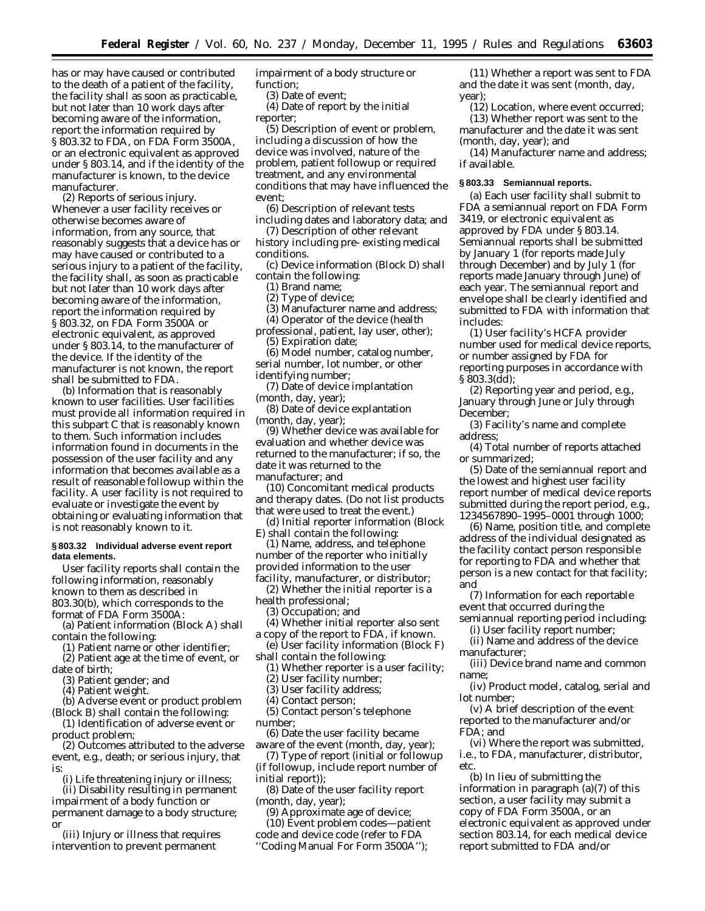has or may have caused or contributed to the death of a patient of the facility, the facility shall as soon as practicable, but not later than 10 work days after becoming aware of the information, report the information required by § 803.32 to FDA, on FDA Form 3500A, or an electronic equivalent as approved under § 803.14, and if the identity of the manufacturer is known, to the device manufacturer.

(2) *Reports of serious injury*. Whenever a user facility receives or otherwise becomes aware of information, from any source, that reasonably suggests that a device has or may have caused or contributed to a serious injury to a patient of the facility, the facility shall, as soon as practicable but not later than 10 work days after becoming aware of the information, report the information required by § 803.32, on FDA Form 3500A or electronic equivalent, as approved under § 803.14, to the manufacturer of the device. If the identity of the manufacturer is not known, the report shall be submitted to FDA.

(b) *Information that is reasonably known to user facilities*. User facilities must provide all information required in this subpart C that is reasonably known to them. Such information includes information found in documents in the possession of the user facility and any information that becomes available as a result of reasonable followup within the facility. A user facility is not required to evaluate or investigate the event by obtaining or evaluating information that is not reasonably known to it.

#### **§ 803.32 Individual adverse event report data elements.**

User facility reports shall contain the following information, reasonably known to them as described in 803.30(b), which corresponds to the format of FDA Form 3500A:

(a) Patient information (Block A) shall contain the following:

(1) Patient name or other identifier;

(2) Patient age at the time of event, or

date of birth; (3) Patient gender; and

(4) Patient weight.

(b) Adverse event or product problem

(Block B) shall contain the following: (1) Identification of adverse event or

product problem;

(2) Outcomes attributed to the adverse event, e.g., death; or serious injury, that is:

(i) Life threatening injury or illness; (ii) Disability resulting in permanent impairment of a body function or permanent damage to a body structure;

or (iii) Injury or illness that requires

intervention to prevent permanent

impairment of a body structure or function;

(3) Date of event;

(4) Date of report by the initial reporter;

(5) Description of event or problem, including a discussion of how the device was involved, nature of the problem, patient followup or required treatment, and any environmental conditions that may have influenced the event;

(6) Description of relevant tests including dates and laboratory data; and

(7) Description of other relevant history including pre- existing medical conditions.

(c) Device information (Block D) shall contain the following:

(1) Brand name;

(2) Type of device;

(3) Manufacturer name and address;

(4) Operator of the device (health

professional, patient, lay user, other);

(5) Expiration date;

(6) Model number, catalog number, serial number, lot number, or other identifying number;

(7) Date of device implantation (month, day, year);

(8) Date of device explantation (month, day, year);

(9) Whether device was available for evaluation and whether device was returned to the manufacturer; if so, the date it was returned to the manufacturer; and

(10) Concomitant medical products and therapy dates. (Do not list products that were used to treat the event.)

(d) Initial reporter information (Block E) shall contain the following:

(1) Name, address, and telephone number of the reporter who initially provided information to the user facility, manufacturer, or distributor;

(2) Whether the initial reporter is a health professional;

(3) Occupation; and

(4) Whether initial reporter also sent a copy of the report to FDA, if known.

(e) User facility information (Block F) shall contain the following:

(1) Whether reporter is a user facility;

(2) User facility number;

(3) User facility address;

(4) Contact person;

(5) Contact person's telephone number;

(6) Date the user facility became aware of the event (month, day, year);

(7) Type of report (initial or followup (if followup, include report number of initial report));

(8) Date of the user facility report (month, day, year);

(9) Approximate age of device;

(10) Event problem codes—patient code and device code (refer to FDA ''Coding Manual For Form 3500A'');

(11) Whether a report was sent to FDA and the date it was sent (month, day, year);

(12) Location, where event occurred; (13) Whether report was sent to the manufacturer and the date it was sent (month, day, year); and

(14) Manufacturer name and address; if available.

# **§ 803.33 Semiannual reports.**

(a) Each user facility shall submit to FDA a semiannual report on FDA Form 3419, or electronic equivalent as approved by FDA under § 803.14. Semiannual reports shall be submitted by January 1 (for reports made July through December) and by July 1 (for reports made January through June) of each year. The semiannual report and envelope shall be clearly identified and submitted to FDA with information that includes:

(1) User facility's HCFA provider number used for medical device reports, or number assigned by FDA for reporting purposes in accordance with § 803.3(dd);

(2) Reporting year and period, e.g., January through June or July through December;

(3) Facility's name and complete address;

(4) Total number of reports attached or summarized;

(5) Date of the semiannual report and the lowest and highest user facility report number of medical device reports submitted during the report period, e.g., 1234567890–1995–0001 through 1000;

(6) Name, position title, and complete address of the individual designated as the facility contact person responsible for reporting to FDA and whether that person is a new contact for that facility; and

(7) Information for each reportable event that occurred during the

semiannual reporting period including: (i) User facility report number;

(ii) Name and address of the device manufacturer;

(iii) Device brand name and common name;

(iv) Product model, catalog, serial and lot number;

(v) A brief description of the event reported to the manufacturer and/or FDA; and

(vi) Where the report was submitted, i.e., to FDA, manufacturer, distributor, etc.

(b) In lieu of submitting the information in paragraph (a)(7) of this section, a user facility may submit a copy of FDA Form 3500A, or an electronic equivalent as approved under section 803.14, for each medical device report submitted to FDA and/or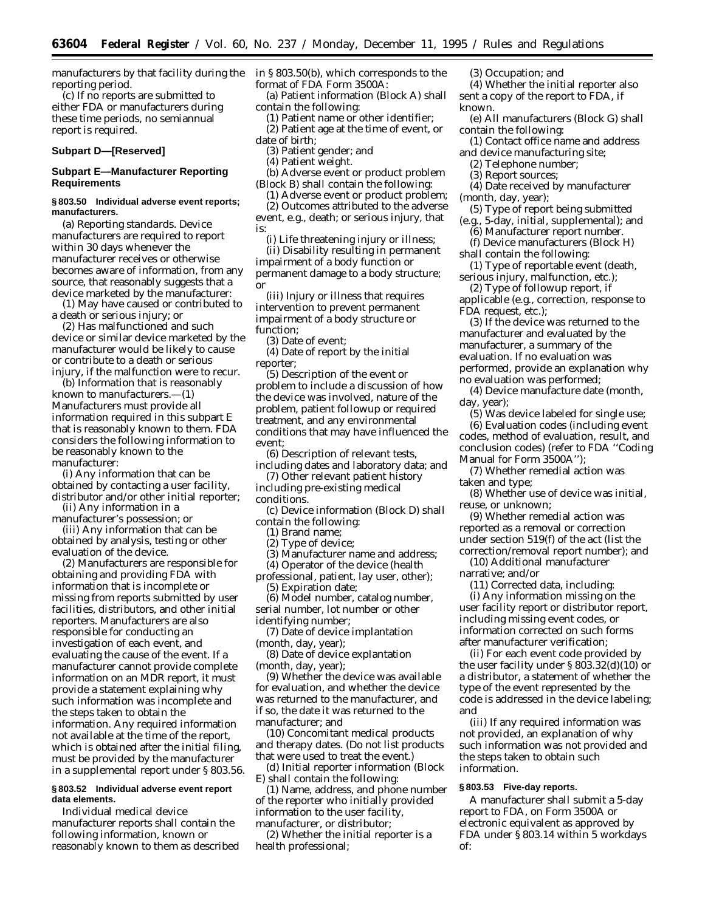manufacturers by that facility during the reporting period.

(c) If no reports are submitted to either FDA or manufacturers during these time periods, no semiannual report is required.

### **Subpart D—[Reserved]**

## **Subpart E—Manufacturer Reporting Requirements**

### **§ 803.50 Individual adverse event reports; manufacturers.**

(a) *Reporting standards.* Device manufacturers are required to report within 30 days whenever the manufacturer receives or otherwise becomes aware of information, from any source, that reasonably suggests that a device marketed by the manufacturer:

(1) May have caused or contributed to a death or serious injury; or

(2) Has malfunctioned and such device or similar device marketed by the manufacturer would be likely to cause or contribute to a death or serious injury, if the malfunction were to recur.

(b) *Information that is reasonably known to manufacturers.*—(1) Manufacturers must provide all information required in this subpart E that is reasonably known to them. FDA considers the following information to be reasonably known to the manufacturer:

(i) Any information that can be obtained by contacting a user facility, distributor and/or other initial reporter;

(ii) Any information in a manufacturer's possession; or

(iii) Any information that can be obtained by analysis, testing or other evaluation of the device.

(2) Manufacturers are responsible for obtaining and providing FDA with information that is incomplete or missing from reports submitted by user facilities, distributors, and other initial reporters. Manufacturers are also responsible for conducting an investigation of each event, and evaluating the cause of the event. If a manufacturer cannot provide complete information on an MDR report, it must provide a statement explaining why such information was incomplete and the steps taken to obtain the information. Any required information not available at the time of the report, which is obtained after the initial filing, must be provided by the manufacturer in a supplemental report under § 803.56.

## **§ 803.52 Individual adverse event report data elements.**

Individual medical device manufacturer reports shall contain the following information, known or reasonably known to them as described in § 803.50(b), which corresponds to the format of FDA Form 3500A:

(a) Patient information (Block A) shall contain the following:

(1) Patient name or other identifier;

(2) Patient age at the time of event, or date of birth;

- (3) Patient gender; and
- (4) Patient weight.

(b) Adverse event or product problem (Block B) shall contain the following:

(1) Adverse event or product problem;

(2) Outcomes attributed to the adverse event, e.g., death; or serious injury, that is:

(i) Life threatening injury or illness;

(ii) Disability resulting in permanent impairment of a body function or permanent damage to a body structure; or

(iii) Injury or illness that requires intervention to prevent permanent impairment of a body structure or function;

(3) Date of event;

(4) Date of report by the initial reporter;

(5) Description of the event or problem to include a discussion of how the device was involved, nature of the problem, patient followup or required treatment, and any environmental conditions that may have influenced the event;

(6) Description of relevant tests, including dates and laboratory data; and

(7) Other relevant patient history including pre-existing medical conditions.

(c) Device information (Block D) shall contain the following:

(1) Brand name;

(2) Type of device;

(3) Manufacturer name and address;

(4) Operator of the device (health professional, patient, lay user, other); (5) Expiration date;

(6) Model number, catalog number,

serial number, lot number or other identifying number;

(7) Date of device implantation (month, day, year);

(8) Date of device explantation (month, day, year);

(9) Whether the device was available for evaluation, and whether the device was returned to the manufacturer, and if so, the date it was returned to the manufacturer; and

(10) Concomitant medical products and therapy dates. (Do not list products that were used to treat the event.)

(d) Initial reporter information (Block E) shall contain the following:

(1) Name, address, and phone number of the reporter who initially provided information to the user facility, manufacturer, or distributor;

(2) Whether the initial reporter is a health professional;

(3) Occupation; and

(4) Whether the initial reporter also sent a copy of the report to FDA, if known.

(e) All manufacturers (Block G) shall contain the following:

(1) Contact office name and address and device manufacturing site;

(2) Telephone number;

(3) Report sources;

(4) Date received by manufacturer

(month, day, year);

(5) Type of report being submitted (e.g., 5-day, initial, supplemental); and

(6) Manufacturer report number.

(f) Device manufacturers (Block H) shall contain the following:

(1) Type of reportable event (death, serious injury, malfunction, etc.);

(2) Type of followup report, if

applicable (e.g., correction, response to FDA request, etc.);

(3) If the device was returned to the manufacturer and evaluated by the manufacturer, a summary of the evaluation. If no evaluation was performed, provide an explanation why no evaluation was performed;

(4) Device manufacture date (month, day, year);

(5) Was device labeled for single use; (6) Evaluation codes (including event codes, method of evaluation, result, and conclusion codes) (refer to FDA ''Coding Manual for Form 3500A'');

(7) Whether remedial action was taken and type;

(8) Whether use of device was initial, reuse, or unknown;

(9) Whether remedial action was reported as a removal or correction under section 519(f) of the act (list the correction/removal report number); and

(10) Additional manufacturer narrative; and/or

(11) Corrected data, including:

(i) Any information missing on the user facility report or distributor report, including missing event codes, or information corrected on such forms after manufacturer verification;

(ii) For each event code provided by the user facility under § 803.32(d)(10) or a distributor, a statement of whether the type of the event represented by the code is addressed in the device labeling; and

(iii) If any required information was not provided, an explanation of why such information was not provided and the steps taken to obtain such information.

## **§ 803.53 Five-day reports.**

A manufacturer shall submit a 5-day report to FDA, on Form 3500A or electronic equivalent as approved by FDA under § 803.14 within 5 workdays of: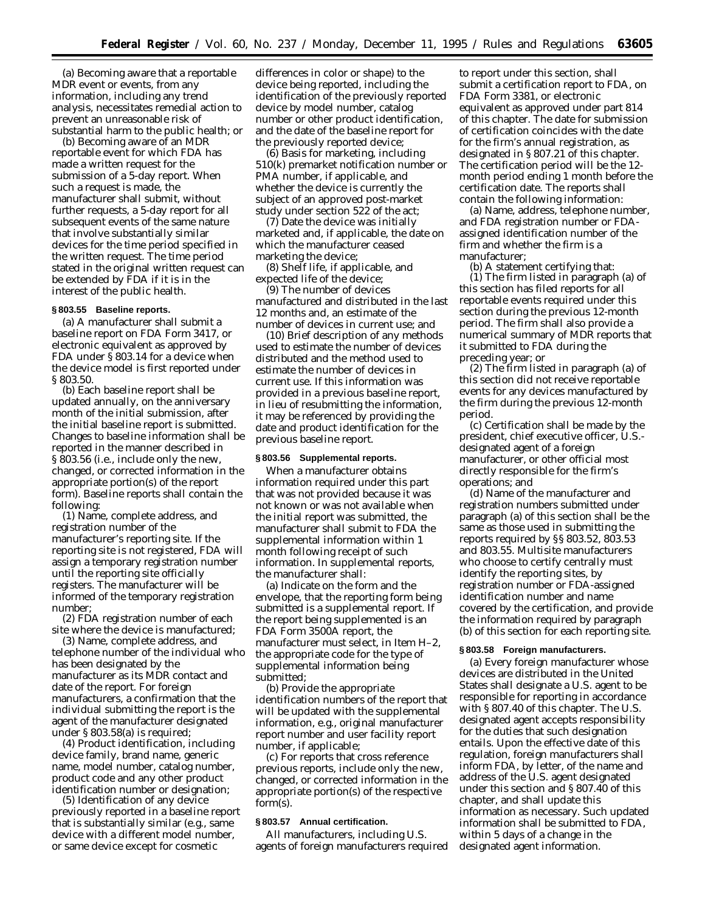(a) Becoming aware that a reportable MDR event or events, from any information, including any trend analysis, necessitates remedial action to prevent an unreasonable risk of substantial harm to the public health; or

(b) Becoming aware of an MDR reportable event for which FDA has made a written request for the submission of a 5-day report. When such a request is made, the manufacturer shall submit, without further requests, a 5-day report for all subsequent events of the same nature that involve substantially similar devices for the time period specified in the written request. The time period stated in the original written request can be extended by FDA if it is in the interest of the public health.

### **§ 803.55 Baseline reports.**

(a) A manufacturer shall submit a baseline report on FDA Form 3417, or electronic equivalent as approved by FDA under § 803.14 for a device when the device model is first reported under § 803.50.

(b) Each baseline report shall be updated annually, on the anniversary month of the initial submission, after the initial baseline report is submitted. Changes to baseline information shall be reported in the manner described in § 803.56 (i.e., include only the new, changed, or corrected information in the appropriate portion(s) of the report form). Baseline reports shall contain the following:

(1) Name, complete address, and registration number of the manufacturer's reporting site. If the reporting site is not registered, FDA will assign a temporary registration number until the reporting site officially registers. The manufacturer will be informed of the temporary registration number;

(2) FDA registration number of each site where the device is manufactured;

(3) Name, complete address, and telephone number of the individual who has been designated by the manufacturer as its MDR contact and date of the report. For foreign manufacturers, a confirmation that the individual submitting the report is the agent of the manufacturer designated under § 803.58(a) is required;

(4) Product identification, including device family, brand name, generic name, model number, catalog number, product code and any other product identification number or designation;

(5) Identification of any device previously reported in a baseline report that is substantially similar (e.g., same device with a different model number, or same device except for cosmetic

differences in color or shape) to the device being reported, including the identification of the previously reported device by model number, catalog number or other product identification, and the date of the baseline report for the previously reported device;

(6) Basis for marketing, including 510(k) premarket notification number or PMA number, if applicable, and whether the device is currently the subject of an approved post-market study under section 522 of the act;

(7) Date the device was initially marketed and, if applicable, the date on which the manufacturer ceased marketing the device;

(8) Shelf life, if applicable, and expected life of the device;

(9) The number of devices manufactured and distributed in the last 12 months and, an estimate of the number of devices in current use; and

(10) Brief description of any methods used to estimate the number of devices distributed and the method used to estimate the number of devices in current use. If this information was provided in a previous baseline report, in lieu of resubmitting the information, it may be referenced by providing the date and product identification for the previous baseline report.

### **§ 803.56 Supplemental reports.**

When a manufacturer obtains information required under this part that was not provided because it was not known or was not available when the initial report was submitted, the manufacturer shall submit to FDA the supplemental information within 1 month following receipt of such information. In supplemental reports, the manufacturer shall:

(a) Indicate on the form and the envelope, that the reporting form being submitted is a supplemental report. If the report being supplemented is an FDA Form 3500A report, the manufacturer must select, in Item H–2, the appropriate code for the type of supplemental information being submitted;

(b) Provide the appropriate identification numbers of the report that will be updated with the supplemental information, e.g., original manufacturer report number and user facility report number, if applicable;

(c) For reports that cross reference previous reports, include only the new, changed, or corrected information in the appropriate portion(s) of the respective form(s).

### **§ 803.57 Annual certification.**

All manufacturers, including U.S. agents of foreign manufacturers required

to report under this section, shall submit a certification report to FDA, on FDA Form 3381, or electronic equivalent as approved under part 814 of this chapter. The date for submission of certification coincides with the date for the firm's annual registration, as designated in § 807.21 of this chapter. The certification period will be the 12 month period ending 1 month before the certification date. The reports shall contain the following information:

(a) Name, address, telephone number, and FDA registration number or FDAassigned identification number of the firm and whether the firm is a manufacturer;

(b) A statement certifying that:

(1) The firm listed in paragraph (a) of this section has filed reports for all reportable events required under this section during the previous 12-month period. The firm shall also provide a numerical summary of MDR reports that it submitted to FDA during the preceding year; or

(2) The firm listed in paragraph (a) of this section did not receive reportable events for any devices manufactured by the firm during the previous 12-month period.

(c) Certification shall be made by the president, chief executive officer, U.S. designated agent of a foreign manufacturer, or other official most directly responsible for the firm's operations; and

(d) Name of the manufacturer and registration numbers submitted under paragraph (a) of this section shall be the same as those used in submitting the reports required by §§ 803.52, 803.53 and 803.55. Multisite manufacturers who choose to certify centrally must identify the reporting sites, by registration number or FDA-assigned identification number and name covered by the certification, and provide the information required by paragraph (b) of this section for each reporting site.

### **§ 803.58 Foreign manufacturers.**

(a) Every foreign manufacturer whose devices are distributed in the United States shall designate a U.S. agent to be responsible for reporting in accordance with § 807.40 of this chapter. The U.S. designated agent accepts responsibility for the duties that such designation entails. Upon the effective date of this regulation, foreign manufacturers shall inform FDA, by letter, of the name and address of the U.S. agent designated under this section and § 807.40 of this chapter, and shall update this information as necessary. Such updated information shall be submitted to FDA, within 5 days of a change in the designated agent information.